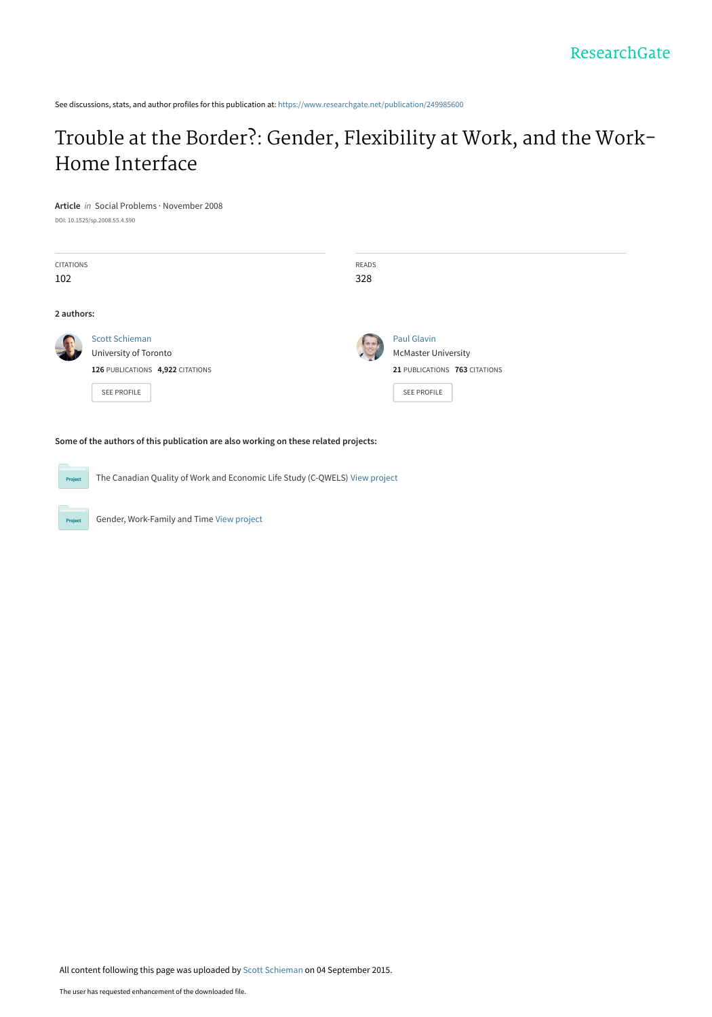See discussions, stats, and author profiles for this publication at: [https://www.researchgate.net/publication/249985600](https://www.researchgate.net/publication/249985600_Trouble_at_the_Border_Gender_Flexibility_at_Work_and_the_Work-Home_Interface?enrichId=rgreq-e6aed3609c7f7395f0ebff5fe6a68ec7-XXX&enrichSource=Y292ZXJQYWdlOzI0OTk4NTYwMDtBUzoyNjk5NDkxMDkyNzI1NzZAMTQ0MTM3MjI5MTUzOA%3D%3D&el=1_x_2&_esc=publicationCoverPdf)

# [Trouble at the Border?: Gender, Flexibility at Work, and the Work-](https://www.researchgate.net/publication/249985600_Trouble_at_the_Border_Gender_Flexibility_at_Work_and_the_Work-Home_Interface?enrichId=rgreq-e6aed3609c7f7395f0ebff5fe6a68ec7-XXX&enrichSource=Y292ZXJQYWdlOzI0OTk4NTYwMDtBUzoyNjk5NDkxMDkyNzI1NzZAMTQ0MTM3MjI5MTUzOA%3D%3D&el=1_x_3&_esc=publicationCoverPdf)Home Interface

**Article** in Social Problems · November 2008 DOI: 10.1525/sp.2008.55.4.590

| <b>CITATIONS</b><br>102                                                             |                                                                                                   | <b>READS</b><br>328 |                                                                                           |  |
|-------------------------------------------------------------------------------------|---------------------------------------------------------------------------------------------------|---------------------|-------------------------------------------------------------------------------------------|--|
| 2 authors:                                                                          |                                                                                                   |                     |                                                                                           |  |
|                                                                                     | <b>Scott Schieman</b><br>University of Toronto<br>126 PUBLICATIONS 4,922 CITATIONS<br>SEE PROFILE |                     | Paul Glavin<br><b>McMaster University</b><br>21 PUBLICATIONS 763 CITATIONS<br>SEE PROFILE |  |
| Some of the authors of this publication are also working on these related projects: |                                                                                                   |                     |                                                                                           |  |

The Canadian Quality of Work and Economic Life Study (C-QWELS) [View project](https://www.researchgate.net/project/The-Canadian-Quality-of-Work-and-Economic-Life-Study-C-QWELS?enrichId=rgreq-e6aed3609c7f7395f0ebff5fe6a68ec7-XXX&enrichSource=Y292ZXJQYWdlOzI0OTk4NTYwMDtBUzoyNjk5NDkxMDkyNzI1NzZAMTQ0MTM3MjI5MTUzOA%3D%3D&el=1_x_9&_esc=publicationCoverPdf)

Gender, Work-Family and Time [View project](https://www.researchgate.net/project/Gender-Work-Family-and-Time?enrichId=rgreq-e6aed3609c7f7395f0ebff5fe6a68ec7-XXX&enrichSource=Y292ZXJQYWdlOzI0OTk4NTYwMDtBUzoyNjk5NDkxMDkyNzI1NzZAMTQ0MTM3MjI5MTUzOA%3D%3D&el=1_x_9&_esc=publicationCoverPdf)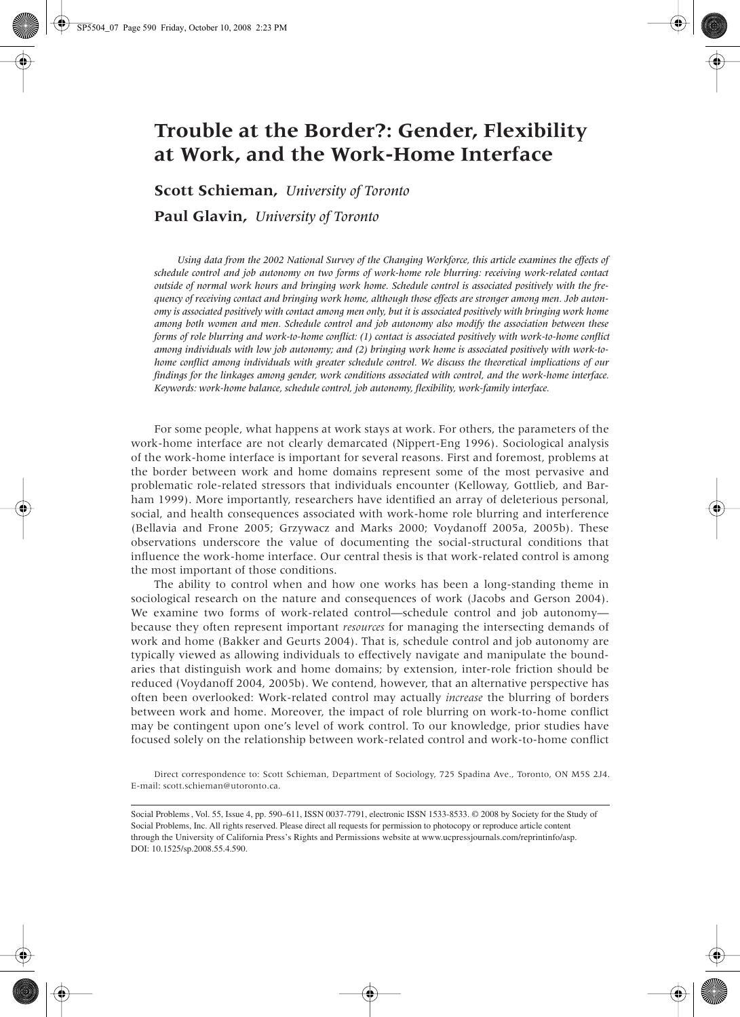# **Trouble at the Border?: Gender, Flexibility at Work, and the Work-Home Interface**

**Scott Schieman,** *University of Toronto* **Paul Glavin,** *University of Toronto*

*Using data from the 2002 National Survey of the Changing Workforce, this article examines the effects of schedule control and job autonomy on two forms of work-home role blurring: receiving work-related contact outside of normal work hours and bringing work home. Schedule control is associated positively with the frequency of receiving contact and bringing work home, although those effects are stronger among men. Job autonomy is associated positively with contact among men only, but it is associated positively with bringing work home among both women and men. Schedule control and job autonomy also modify the association between these forms of role blurring and work-to-home conflict: (1) contact is associated positively with work-to-home conflict among individuals with low job autonomy; and (2) bringing work home is associated positively with work-tohome conflict among individuals with greater schedule control. We discuss the theoretical implications of our findings for the linkages among gender, work conditions associated with control, and the work-home interface. Keywords: work-home balance, schedule control, job autonomy, flexibility, work-family interface.*

For some people, what happens at work stays at work. For others, the parameters of the work-home interface are not clearly demarcated (Nippert-Eng 1996). Sociological analysis of the work-home interface is important for several reasons. First and foremost, problems at the border between work and home domains represent some of the most pervasive and problematic role-related stressors that individuals encounter (Kelloway, Gottlieb, and Barham 1999). More importantly, researchers have identified an array of deleterious personal, social, and health consequences associated with work-home role blurring and interference (Bellavia and Frone 2005; Grzywacz and Marks 2000; Voydanoff 2005a, 2005b). These observations underscore the value of documenting the social-structural conditions that influence the work-home interface. Our central thesis is that work-related control is among the most important of those conditions.

The ability to control when and how one works has been a long-standing theme in sociological research on the nature and consequences of work (Jacobs and Gerson 2004). We examine two forms of work-related control—schedule control and job autonomy because they often represent important *resources* for managing the intersecting demands of work and home (Bakker and Geurts 2004). That is, schedule control and job autonomy are typically viewed as allowing individuals to effectively navigate and manipulate the boundaries that distinguish work and home domains; by extension, inter-role friction should be reduced (Voydanoff 2004, 2005b). We contend, however, that an alternative perspective has often been overlooked: Work-related control may actually *increase* the blurring of borders between work and home. Moreover, the impact of role blurring on work-to-home conflict may be contingent upon one's level of work control. To our knowledge, prior studies have focused solely on the relationship between work-related control and work-to-home conflict

Direct correspondence to: Scott Schieman, Department of Sociology, 725 Spadina Ave., Toronto, ON M5S 2J4. E-mail: scott.schieman@utoronto.ca.

Social Problems, Vol. 55, Issue 4, pp. 590–611, ISSN 0037-7791, electronic ISSN 1533-8533. © 2008 by Society for the Study of Social Problems, Inc. All rights reserved. Please direct all requests for permission to photocopy or reproduce article content through the University of California Press's Rights and Permissions website at www.ucpressjournals.com/reprintinfo/asp. DOI: 10.1525/sp.2008.55.4.590.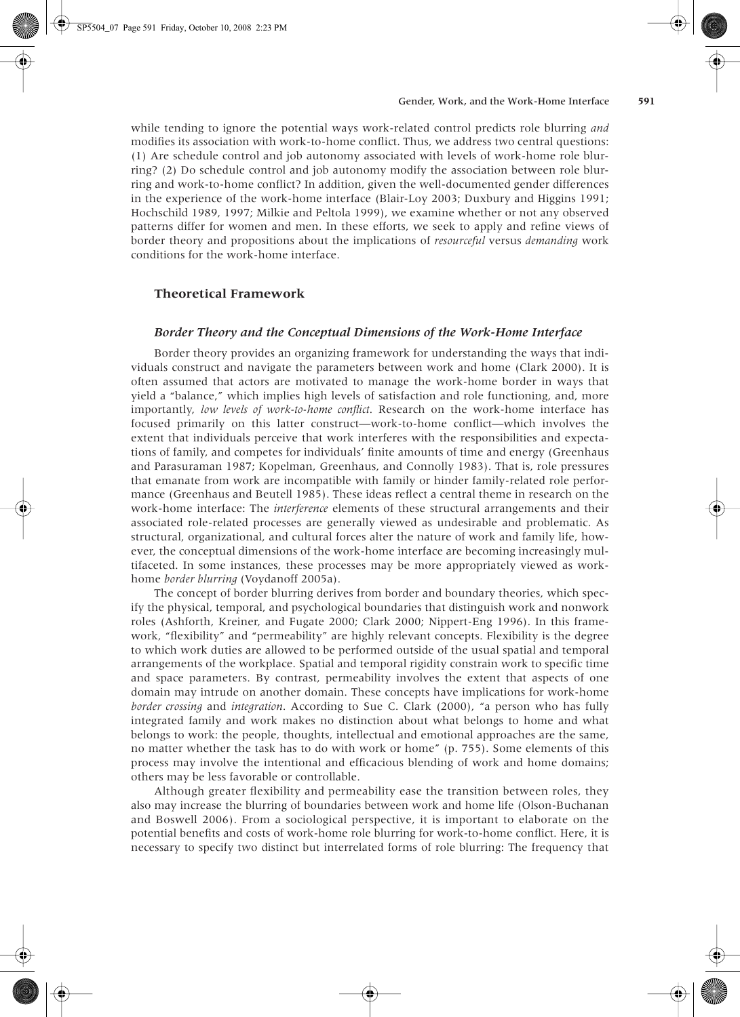while tending to ignore the potential ways work-related control predicts role blurring *and* modifies its association with work-to-home conflict. Thus, we address two central questions: (1) Are schedule control and job autonomy associated with levels of work-home role blurring? (2) Do schedule control and job autonomy modify the association between role blurring and work-to-home conflict? In addition, given the well-documented gender differences in the experience of the work-home interface (Blair-Loy 2003; Duxbury and Higgins 1991; Hochschild 1989, 1997; Milkie and Peltola 1999), we examine whether or not any observed patterns differ for women and men. In these efforts, we seek to apply and refine views of border theory and propositions about the implications of *resourceful* versus *demanding* work conditions for the work-home interface.

# **Theoretical Framework**

### *Border Theory and the Conceptual Dimensions of the Work-Home Interface*

Border theory provides an organizing framework for understanding the ways that individuals construct and navigate the parameters between work and home (Clark 2000). It is often assumed that actors are motivated to manage the work-home border in ways that yield a "balance," which implies high levels of satisfaction and role functioning, and, more importantly, *low levels of work-to-home conflict*. Research on the work-home interface has focused primarily on this latter construct—work-to-home conflict—which involves the extent that individuals perceive that work interferes with the responsibilities and expectations of family, and competes for individuals' finite amounts of time and energy (Greenhaus and Parasuraman 1987; Kopelman, Greenhaus, and Connolly 1983). That is, role pressures that emanate from work are incompatible with family or hinder family-related role performance (Greenhaus and Beutell 1985). These ideas reflect a central theme in research on the work-home interface: The *interference* elements of these structural arrangements and their associated role-related processes are generally viewed as undesirable and problematic. As structural, organizational, and cultural forces alter the nature of work and family life, however, the conceptual dimensions of the work-home interface are becoming increasingly multifaceted. In some instances, these processes may be more appropriately viewed as workhome *border blurring* (Voydanoff 2005a).

The concept of border blurring derives from border and boundary theories, which specify the physical, temporal, and psychological boundaries that distinguish work and nonwork roles (Ashforth, Kreiner, and Fugate 2000; Clark 2000; Nippert-Eng 1996). In this framework, "flexibility" and "permeability" are highly relevant concepts. Flexibility is the degree to which work duties are allowed to be performed outside of the usual spatial and temporal arrangements of the workplace. Spatial and temporal rigidity constrain work to specific time and space parameters. By contrast, permeability involves the extent that aspects of one domain may intrude on another domain. These concepts have implications for work-home *border crossing* and *integration*. According to Sue C. Clark (2000), "a person who has fully integrated family and work makes no distinction about what belongs to home and what belongs to work: the people, thoughts, intellectual and emotional approaches are the same, no matter whether the task has to do with work or home" (p. 755). Some elements of this process may involve the intentional and efficacious blending of work and home domains; others may be less favorable or controllable.

Although greater flexibility and permeability ease the transition between roles, they also may increase the blurring of boundaries between work and home life (Olson-Buchanan and Boswell 2006). From a sociological perspective, it is important to elaborate on the potential benefits and costs of work-home role blurring for work-to-home conflict. Here, it is necessary to specify two distinct but interrelated forms of role blurring: The frequency that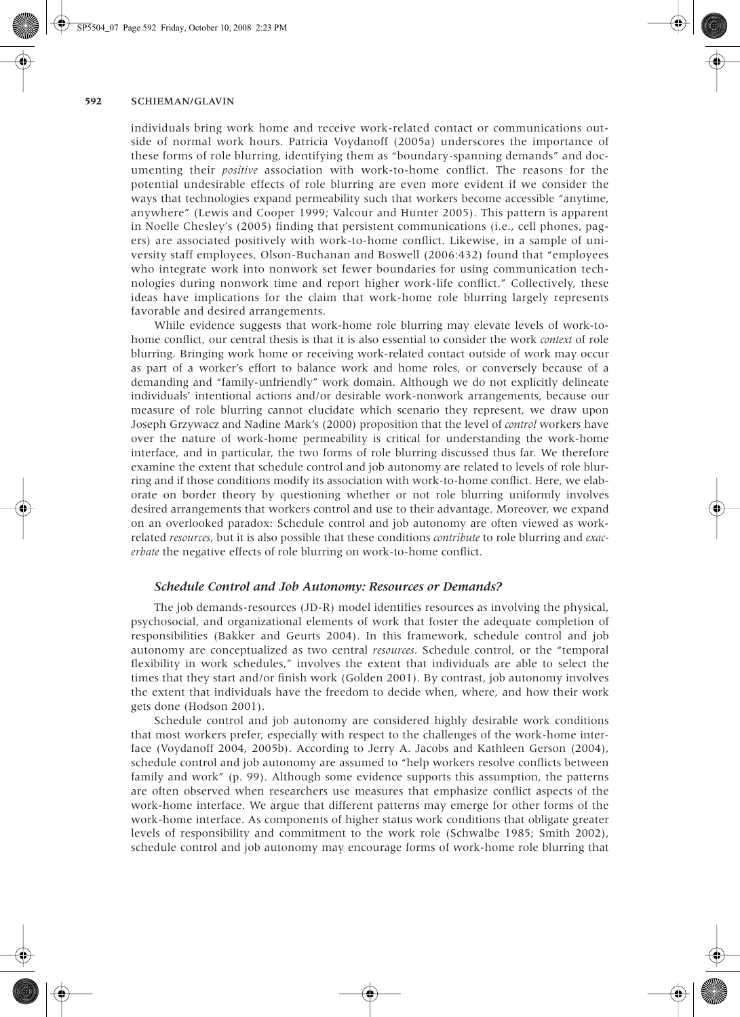individuals bring work home and receive work-related contact or communications outside of normal work hours. Patricia Voydanoff (2005a) underscores the importance of these forms of role blurring, identifying them as "boundary-spanning demands" and documenting their *positive* association with work-to-home conflict. The reasons for the potential undesirable effects of role blurring are even more evident if we consider the ways that technologies expand permeability such that workers become accessible "anytime, anywhere" (Lewis and Cooper 1999; Valcour and Hunter 2005). This pattern is apparent in Noelle Chesley's (2005) finding that persistent communications (i.e., cell phones, pagers) are associated positively with work-to-home conflict. Likewise, in a sample of university staff employees, Olson-Buchanan and Boswell (2006:432) found that "employees who integrate work into nonwork set fewer boundaries for using communication technologies during nonwork time and report higher work-life conflict." Collectively, these ideas have implications for the claim that work-home role blurring largely represents favorable and desired arrangements.

While evidence suggests that work-home role blurring may elevate levels of work-tohome conflict, our central thesis is that it is also essential to consider the work *context* of role blurring. Bringing work home or receiving work-related contact outside of work may occur as part of a worker's effort to balance work and home roles, or conversely because of a demanding and "family-unfriendly" work domain. Although we do not explicitly delineate individuals' intentional actions and/or desirable work-nonwork arrangements, because our measure of role blurring cannot elucidate which scenario they represent, we draw upon Joseph Grzywacz and Nadine Mark's (2000) proposition that the level of *control* workers have over the nature of work-home permeability is critical for understanding the work-home interface, and in particular, the two forms of role blurring discussed thus far. We therefore examine the extent that schedule control and job autonomy are related to levels of role blurring and if those conditions modify its association with work-to-home conflict. Here, we elaborate on border theory by questioning whether or not role blurring uniformly involves desired arrangements that workers control and use to their advantage. Moreover, we expand on an overlooked paradox: Schedule control and job autonomy are often viewed as workrelated *resources*, but it is also possible that these conditions *contribute* to role blurring and *exacerbate* the negative effects of role blurring on work-to-home conflict.

# *Schedule Control and Job Autonomy: Resources or Demands?*

The job demands-resources (JD-R) model identifies resources as involving the physical, psychosocial, and organizational elements of work that foster the adequate completion of responsibilities (Bakker and Geurts 2004). In this framework, schedule control and job autonomy are conceptualized as two central *resources*. Schedule control, or the "temporal flexibility in work schedules," involves the extent that individuals are able to select the times that they start and/or finish work (Golden 2001). By contrast, job autonomy involves the extent that individuals have the freedom to decide when, where, and how their work gets done (Hodson 2001).

Schedule control and job autonomy are considered highly desirable work conditions that most workers prefer, especially with respect to the challenges of the work-home interface (Voydanoff 2004, 2005b). According to Jerry A. Jacobs and Kathleen Gerson (2004), schedule control and job autonomy are assumed to "help workers resolve conflicts between family and work" (p. 99). Although some evidence supports this assumption, the patterns are often observed when researchers use measures that emphasize conflict aspects of the work-home interface. We argue that different patterns may emerge for other forms of the work-home interface. As components of higher status work conditions that obligate greater levels of responsibility and commitment to the work role (Schwalbe 1985; Smith 2002), schedule control and job autonomy may encourage forms of work-home role blurring that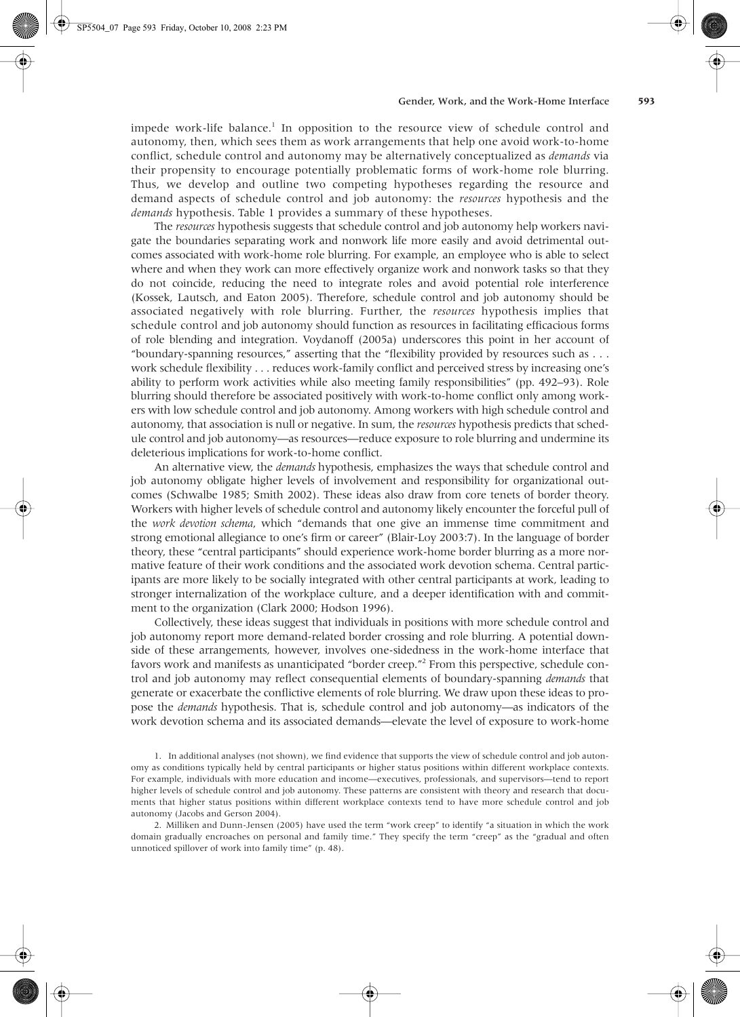impede work-life balance.<sup>1</sup> In opposition to the resource view of schedule control and autonomy, then, which sees them as work arrangements that help one avoid work-to-home conflict, schedule control and autonomy may be alternatively conceptualized as *demands* via their propensity to encourage potentially problematic forms of work-home role blurring. Thus, we develop and outline two competing hypotheses regarding the resource and demand aspects of schedule control and job autonomy: the *resources* hypothesis and the *demands* hypothesis. Table 1 provides a summary of these hypotheses.

The *resources* hypothesis suggests that schedule control and job autonomy help workers navigate the boundaries separating work and nonwork life more easily and avoid detrimental outcomes associated with work-home role blurring. For example, an employee who is able to select where and when they work can more effectively organize work and nonwork tasks so that they do not coincide, reducing the need to integrate roles and avoid potential role interference (Kossek, Lautsch, and Eaton 2005). Therefore, schedule control and job autonomy should be associated negatively with role blurring. Further, the *resources* hypothesis implies that schedule control and job autonomy should function as resources in facilitating efficacious forms of role blending and integration. Voydanoff (2005a) underscores this point in her account of "boundary-spanning resources," asserting that the "flexibility provided by resources such as . . . work schedule flexibility . . . reduces work-family conflict and perceived stress by increasing one's ability to perform work activities while also meeting family responsibilities" (pp. 492–93). Role blurring should therefore be associated positively with work-to-home conflict only among workers with low schedule control and job autonomy. Among workers with high schedule control and autonomy, that association is null or negative. In sum, the *resources* hypothesis predicts that schedule control and job autonomy—as resources—reduce exposure to role blurring and undermine its deleterious implications for work-to-home conflict.

An alternative view, the *demands* hypothesis, emphasizes the ways that schedule control and job autonomy obligate higher levels of involvement and responsibility for organizational outcomes (Schwalbe 1985; Smith 2002). These ideas also draw from core tenets of border theory. Workers with higher levels of schedule control and autonomy likely encounter the forceful pull of the *work devotion schema*, which "demands that one give an immense time commitment and strong emotional allegiance to one's firm or career" (Blair-Loy 2003:7). In the language of border theory, these "central participants" should experience work-home border blurring as a more normative feature of their work conditions and the associated work devotion schema. Central participants are more likely to be socially integrated with other central participants at work, leading to stronger internalization of the workplace culture, and a deeper identification with and commitment to the organization (Clark 2000; Hodson 1996).

Collectively, these ideas suggest that individuals in positions with more schedule control and job autonomy report more demand-related border crossing and role blurring. A potential downside of these arrangements, however, involves one-sidedness in the work-home interface that favors work and manifests as unanticipated "border creep."2 From this perspective, schedule control and job autonomy may reflect consequential elements of boundary-spanning *demands* that generate or exacerbate the conflictive elements of role blurring. We draw upon these ideas to propose the *demands* hypothesis. That is, schedule control and job autonomy—as indicators of the work devotion schema and its associated demands—elevate the level of exposure to work-home

1. In additional analyses (not shown), we find evidence that supports the view of schedule control and job autonomy as conditions typically held by central participants or higher status positions within different workplace contexts. For example, individuals with more education and income—executives, professionals, and supervisors—tend to report higher levels of schedule control and job autonomy. These patterns are consistent with theory and research that documents that higher status positions within different workplace contexts tend to have more schedule control and job autonomy (Jacobs and Gerson 2004).

2. Milliken and Dunn-Jensen (2005) have used the term "work creep" to identify "a situation in which the work domain gradually encroaches on personal and family time." They specify the term "creep" as the "gradual and often unnoticed spillover of work into family time" (p. 48).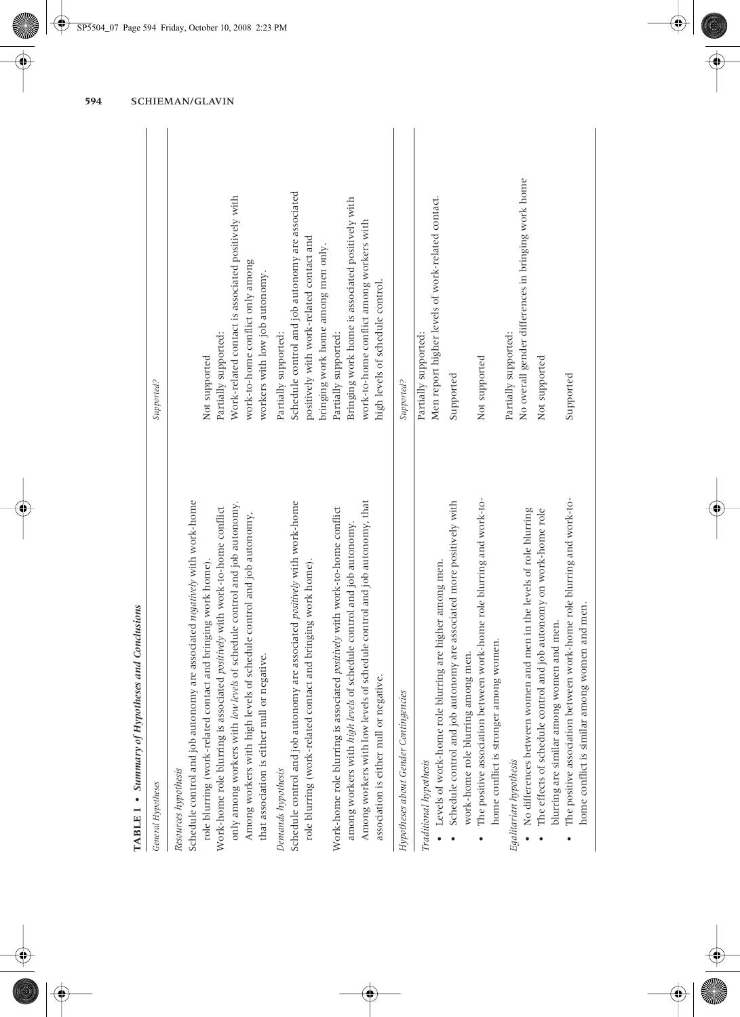| TABLE 1 • Summary of Hypotheses and Conclusions                                                                                                                                                                                                                                                                                                                                                                                                              |                                                                                                                                                                                                |
|--------------------------------------------------------------------------------------------------------------------------------------------------------------------------------------------------------------------------------------------------------------------------------------------------------------------------------------------------------------------------------------------------------------------------------------------------------------|------------------------------------------------------------------------------------------------------------------------------------------------------------------------------------------------|
| General Hypotheses                                                                                                                                                                                                                                                                                                                                                                                                                                           | Supported?                                                                                                                                                                                     |
| Schedule control and job autonomy are associated negatively with work-home<br>only among workers with low levels of schedule control and job autonomy.<br>Work-home role blurring is associated <i>positively</i> with work-to-home conflict<br>Among workers with high levels of schedule control and job autonomy,<br>role blurring (work-related contact and bringing work home).<br>that association is either null or negative.<br>Resources hypothesis | Work-related contact is associated positively with<br>work-to-home conflict only among<br>workers with low job autonomy.<br>Partially supported:<br>Not supported                              |
| Schedule control and job autonomy are associated positively with work-home<br>role blurring (work-related contact and bringing work home).<br>Demands hypothesis                                                                                                                                                                                                                                                                                             | Schedule control and job autonomy are associated<br>positively with work-related contact and<br>Partially supported:                                                                           |
| Among workers with low levels of schedule control and job autonomy, that<br>Work-home role blurring is associated positively with work-to-home conflict<br>among workers with high levels of schedule control and job autonomy.<br>association is either null or negative.                                                                                                                                                                                   | Bringing work home is associated positively with<br>work-to-home conflict among workers with<br>bringing work home among men only.<br>high levels of schedule control.<br>Partially supported: |
| Hypotheses about Gender Contingencies                                                                                                                                                                                                                                                                                                                                                                                                                        | Supported?                                                                                                                                                                                     |
| Levels of work-home role blurring are higher among men.<br>Traditional hypothesis                                                                                                                                                                                                                                                                                                                                                                            | Men report higher levels of work-related contact.<br>Partially supported:                                                                                                                      |
| The positive association between work-home role blurring and work-to-<br>Schedule control and job autonomy are associated more positively with<br>work-home role blurring among men.                                                                                                                                                                                                                                                                         | Not supported<br>Supported                                                                                                                                                                     |
| home conflict is stronger among women.                                                                                                                                                                                                                                                                                                                                                                                                                       |                                                                                                                                                                                                |
| No differences between women and men in the levels of role blurring<br>Egalitarian hypothesis                                                                                                                                                                                                                                                                                                                                                                | No overall gender differences in bringing work home<br>Partially supported:                                                                                                                    |
| The effects of schedule control and job autonomy on work-home role<br>blurring are similar among women and men.                                                                                                                                                                                                                                                                                                                                              | Not supported                                                                                                                                                                                  |
| The positive association between work-home role blurring and work-to-<br>home conflict is similar among women and men.                                                                                                                                                                                                                                                                                                                                       | Supported                                                                                                                                                                                      |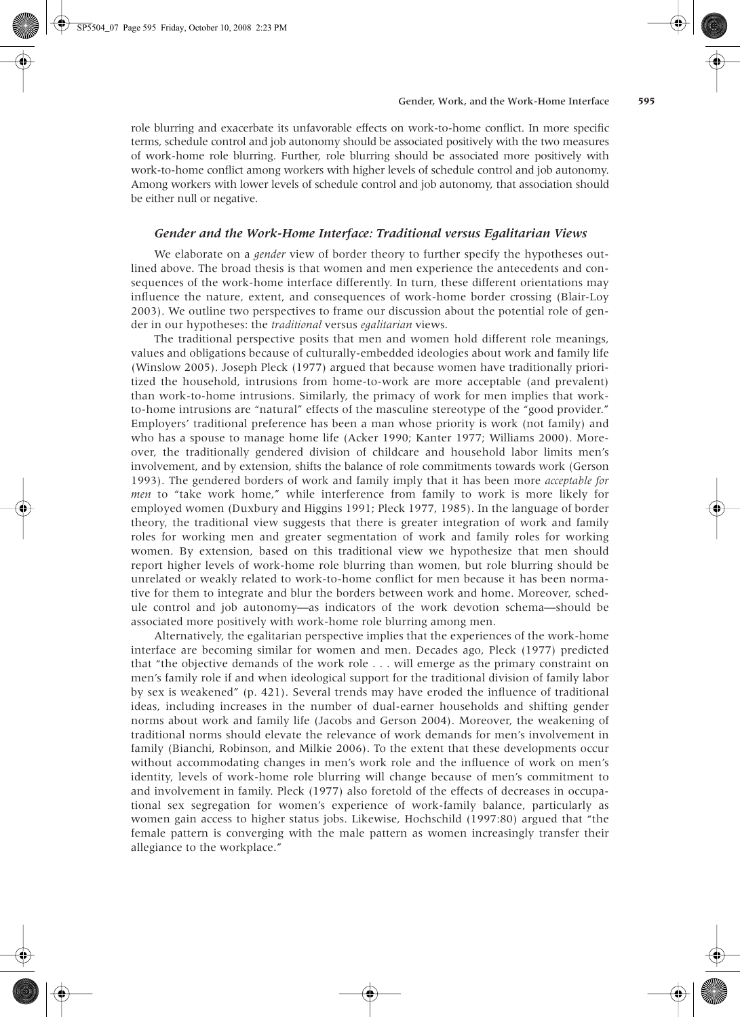role blurring and exacerbate its unfavorable effects on work-to-home conflict. In more specific terms, schedule control and job autonomy should be associated positively with the two measures of work-home role blurring. Further, role blurring should be associated more positively with work-to-home conflict among workers with higher levels of schedule control and job autonomy. Among workers with lower levels of schedule control and job autonomy, that association should be either null or negative.

# *Gender and the Work-Home Interface: Traditional versus Egalitarian Views*

We elaborate on a *gender* view of border theory to further specify the hypotheses outlined above. The broad thesis is that women and men experience the antecedents and consequences of the work-home interface differently. In turn, these different orientations may influence the nature, extent, and consequences of work-home border crossing (Blair-Loy 2003). We outline two perspectives to frame our discussion about the potential role of gender in our hypotheses: the *traditional* versus *egalitarian* views.

The traditional perspective posits that men and women hold different role meanings, values and obligations because of culturally-embedded ideologies about work and family life (Winslow 2005). Joseph Pleck (1977) argued that because women have traditionally prioritized the household, intrusions from home-to-work are more acceptable (and prevalent) than work-to-home intrusions. Similarly, the primacy of work for men implies that workto-home intrusions are "natural" effects of the masculine stereotype of the "good provider." Employers' traditional preference has been a man whose priority is work (not family) and who has a spouse to manage home life (Acker 1990; Kanter 1977; Williams 2000). Moreover, the traditionally gendered division of childcare and household labor limits men's involvement, and by extension, shifts the balance of role commitments towards work (Gerson 1993). The gendered borders of work and family imply that it has been more *acceptable for men* to "take work home," while interference from family to work is more likely for employed women (Duxbury and Higgins 1991; Pleck 1977, 1985). In the language of border theory, the traditional view suggests that there is greater integration of work and family roles for working men and greater segmentation of work and family roles for working women. By extension, based on this traditional view we hypothesize that men should report higher levels of work-home role blurring than women, but role blurring should be unrelated or weakly related to work-to-home conflict for men because it has been normative for them to integrate and blur the borders between work and home. Moreover, schedule control and job autonomy—as indicators of the work devotion schema—should be associated more positively with work-home role blurring among men.

Alternatively, the egalitarian perspective implies that the experiences of the work-home interface are becoming similar for women and men. Decades ago, Pleck (1977) predicted that "the objective demands of the work role . . . will emerge as the primary constraint on men's family role if and when ideological support for the traditional division of family labor by sex is weakened" (p. 421). Several trends may have eroded the influence of traditional ideas, including increases in the number of dual-earner households and shifting gender norms about work and family life (Jacobs and Gerson 2004). Moreover, the weakening of traditional norms should elevate the relevance of work demands for men's involvement in family (Bianchi, Robinson, and Milkie 2006). To the extent that these developments occur without accommodating changes in men's work role and the influence of work on men's identity, levels of work-home role blurring will change because of men's commitment to and involvement in family. Pleck (1977) also foretold of the effects of decreases in occupational sex segregation for women's experience of work-family balance, particularly as women gain access to higher status jobs. Likewise, Hochschild (1997:80) argued that "the female pattern is converging with the male pattern as women increasingly transfer their allegiance to the workplace."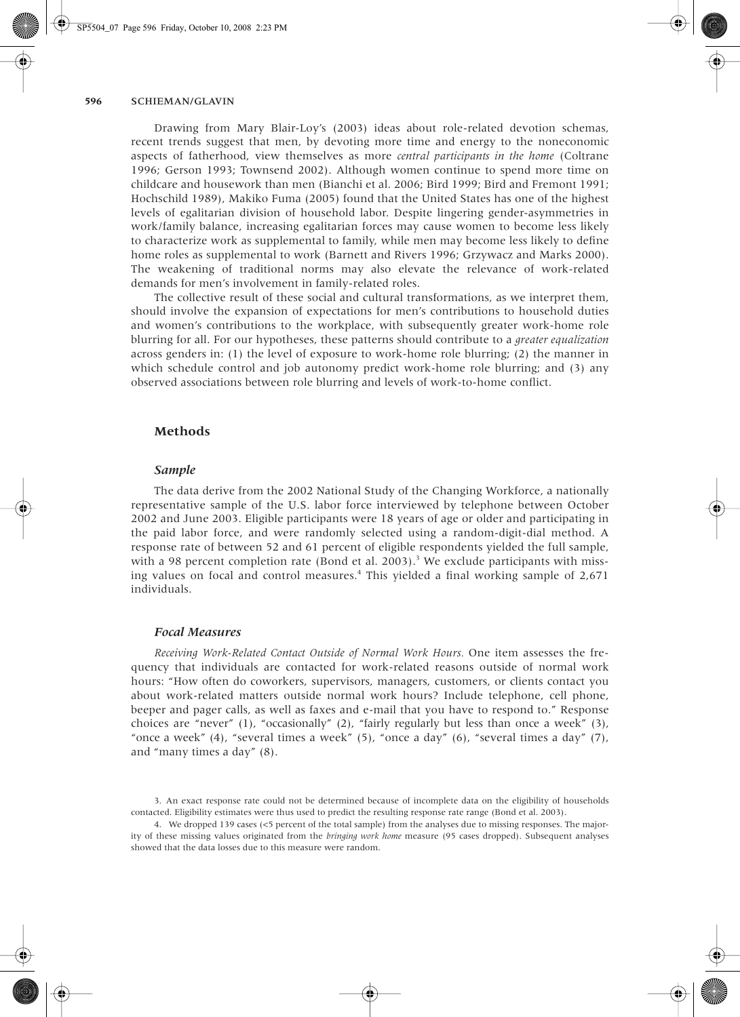Drawing from Mary Blair-Loy's (2003) ideas about role-related devotion schemas, recent trends suggest that men, by devoting more time and energy to the noneconomic aspects of fatherhood, view themselves as more *central participants in the home* (Coltrane 1996; Gerson 1993; Townsend 2002). Although women continue to spend more time on childcare and housework than men (Bianchi et al. 2006; Bird 1999; Bird and Fremont 1991; Hochschild 1989), Makiko Fuma (2005) found that the United States has one of the highest levels of egalitarian division of household labor. Despite lingering gender-asymmetries in work/family balance, increasing egalitarian forces may cause women to become less likely to characterize work as supplemental to family, while men may become less likely to define home roles as supplemental to work (Barnett and Rivers 1996; Grzywacz and Marks 2000). The weakening of traditional norms may also elevate the relevance of work-related demands for men's involvement in family-related roles.

The collective result of these social and cultural transformations, as we interpret them, should involve the expansion of expectations for men's contributions to household duties and women's contributions to the workplace, with subsequently greater work-home role blurring for all. For our hypotheses, these patterns should contribute to a *greater equalization* across genders in: (1) the level of exposure to work-home role blurring; (2) the manner in which schedule control and job autonomy predict work-home role blurring; and (3) any observed associations between role blurring and levels of work-to-home conflict.

### **Methods**

### *Sample*

The data derive from the 2002 National Study of the Changing Workforce, a nationally representative sample of the U.S. labor force interviewed by telephone between October 2002 and June 2003. Eligible participants were 18 years of age or older and participating in the paid labor force, and were randomly selected using a random-digit-dial method. A response rate of between 52 and 61 percent of eligible respondents yielded the full sample, with a 98 percent completion rate (Bond et al. 2003).<sup>3</sup> We exclude participants with missing values on focal and control measures.<sup>4</sup> This yielded a final working sample of 2,671 individuals.

#### *Focal Measures*

*Receiving Work-Related Contact Outside of Normal Work Hours.* One item assesses the frequency that individuals are contacted for work-related reasons outside of normal work hours: "How often do coworkers, supervisors, managers, customers, or clients contact you about work-related matters outside normal work hours? Include telephone, cell phone, beeper and pager calls, as well as faxes and e-mail that you have to respond to." Response choices are "never" (1), "occasionally" (2), "fairly regularly but less than once a week" (3), "once a week" (4), "several times a week" (5), "once a day" (6), "several times a day" (7), and "many times a day" (8).

<sup>3.</sup> An exact response rate could not be determined because of incomplete data on the eligibility of households contacted. Eligibility estimates were thus used to predict the resulting response rate range (Bond et al. 2003).

<sup>4.</sup> We dropped 139 cases (<5 percent of the total sample) from the analyses due to missing responses. The majority of these missing values originated from the *bringing work home* measure (95 cases dropped). Subsequent analyses showed that the data losses due to this measure were random.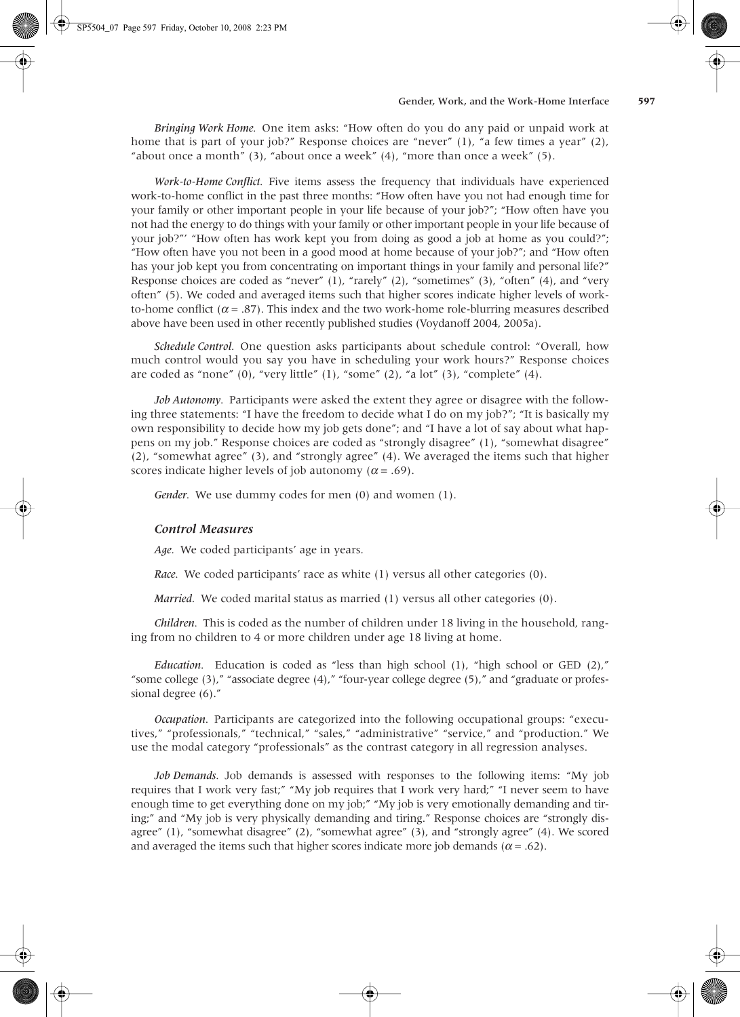*Bringing Work Home.* One item asks: "How often do you do any paid or unpaid work at home that is part of your job?" Response choices are "never" (1), "a few times a year" (2), "about once a month"  $(3)$ , "about once a week"  $(4)$ , "more than once a week"  $(5)$ .

*Work-to-Home Conflict.* Five items assess the frequency that individuals have experienced work-to-home conflict in the past three months: "How often have you not had enough time for your family or other important people in your life because of your job?"; "How often have you not had the energy to do things with your family or other important people in your life because of your job?"' "How often has work kept you from doing as good a job at home as you could?"; "How often have you not been in a good mood at home because of your job?"; and "How often has your job kept you from concentrating on important things in your family and personal life?" Response choices are coded as "never" (1), "rarely" (2), "sometimes" (3), "often" (4), and "very often" (5). We coded and averaged items such that higher scores indicate higher levels of workto-home conflict ( $\alpha$  = .87). This index and the two work-home role-blurring measures described above have been used in other recently published studies (Voydanoff 2004, 2005a).

*Schedule Control.* One question asks participants about schedule control: "Overall, how much control would you say you have in scheduling your work hours?" Response choices are coded as "none" (0), "very little" (1), "some" (2), "a lot" (3), "complete" (4).

*Job Autonomy.* Participants were asked the extent they agree or disagree with the following three statements: "I have the freedom to decide what I do on my job?"; "It is basically my own responsibility to decide how my job gets done"; and "I have a lot of say about what happens on my job." Response choices are coded as "strongly disagree" (1), "somewhat disagree" (2), "somewhat agree" (3), and "strongly agree" (4). We averaged the items such that higher scores indicate higher levels of job autonomy ( $\alpha$  = .69).

*Gender.* We use dummy codes for men (0) and women (1).

# *Control Measures*

*Age.* We coded participants' age in years.

*Race.* We coded participants' race as white (1) versus all other categories (0).

*Married.* We coded marital status as married (1) versus all other categories (0).

*Children.* This is coded as the number of children under 18 living in the household, ranging from no children to 4 or more children under age 18 living at home.

*Education.* Education is coded as "less than high school (1), "high school or GED (2)," "some college (3)," "associate degree (4)," "four-year college degree (5)," and "graduate or professional degree (6)."

*Occupation.* Participants are categorized into the following occupational groups: "executives," "professionals," "technical," "sales," "administrative" "service," and "production." We use the modal category "professionals" as the contrast category in all regression analyses.

*Job Demands.* Job demands is assessed with responses to the following items: "My job requires that I work very fast;" "My job requires that I work very hard;" "I never seem to have enough time to get everything done on my job;" "My job is very emotionally demanding and tiring;" and "My job is very physically demanding and tiring." Response choices are "strongly disagree" (1), "somewhat disagree" (2), "somewhat agree" (3), and "strongly agree" (4). We scored and averaged the items such that higher scores indicate more job demands ( $\alpha$  = .62).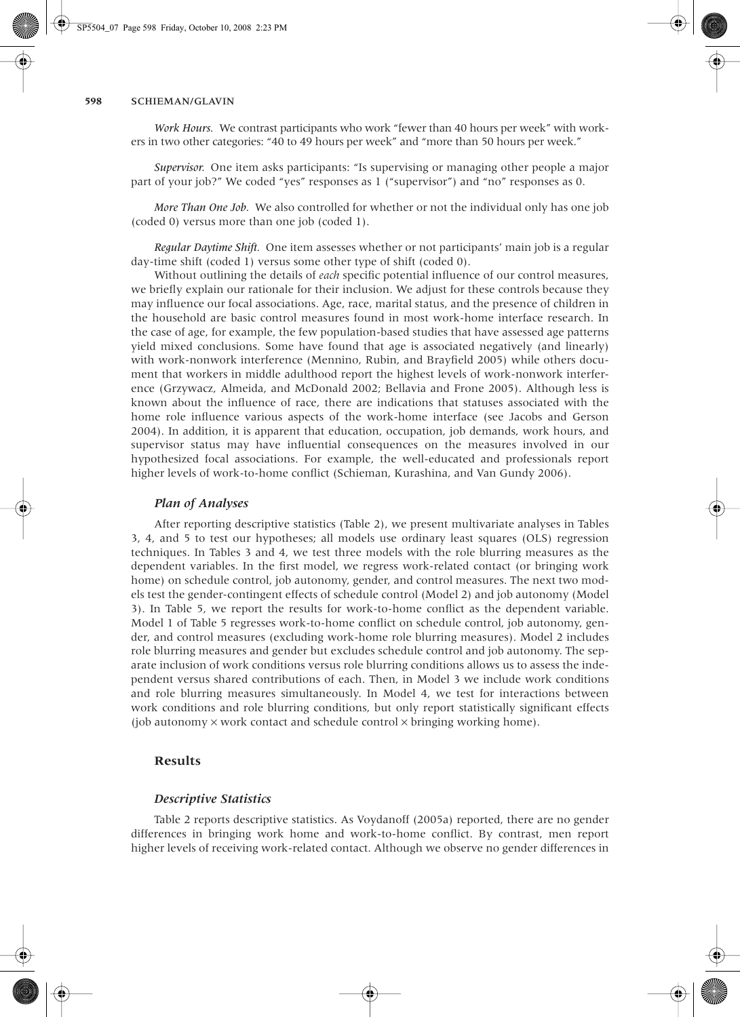*Work Hours.* We contrast participants who work "fewer than 40 hours per week" with workers in two other categories: "40 to 49 hours per week" and "more than 50 hours per week."

*Supervisor.* One item asks participants: "Is supervising or managing other people a major part of your job?" We coded "yes" responses as 1 ("supervisor") and "no" responses as 0.

*More Than One Job.* We also controlled for whether or not the individual only has one job (coded 0) versus more than one job (coded 1).

*Regular Daytime Shift.* One item assesses whether or not participants' main job is a regular day-time shift (coded 1) versus some other type of shift (coded 0).

Without outlining the details of *each* specific potential influence of our control measures, we briefly explain our rationale for their inclusion. We adjust for these controls because they may influence our focal associations. Age, race, marital status, and the presence of children in the household are basic control measures found in most work-home interface research. In the case of age, for example, the few population-based studies that have assessed age patterns yield mixed conclusions. Some have found that age is associated negatively (and linearly) with work-nonwork interference (Mennino, Rubin, and Brayfield 2005) while others document that workers in middle adulthood report the highest levels of work-nonwork interference (Grzywacz, Almeida, and McDonald 2002; Bellavia and Frone 2005). Although less is known about the influence of race, there are indications that statuses associated with the home role influence various aspects of the work-home interface (see Jacobs and Gerson 2004). In addition, it is apparent that education, occupation, job demands, work hours, and supervisor status may have influential consequences on the measures involved in our hypothesized focal associations. For example, the well-educated and professionals report higher levels of work-to-home conflict (Schieman, Kurashina, and Van Gundy 2006).

#### *Plan of Analyses*

After reporting descriptive statistics (Table 2), we present multivariate analyses in Tables 3, 4, and 5 to test our hypotheses; all models use ordinary least squares (OLS) regression techniques. In Tables 3 and 4, we test three models with the role blurring measures as the dependent variables. In the first model, we regress work-related contact (or bringing work home) on schedule control, job autonomy, gender, and control measures. The next two models test the gender-contingent effects of schedule control (Model 2) and job autonomy (Model 3). In Table 5, we report the results for work-to-home conflict as the dependent variable. Model 1 of Table 5 regresses work-to-home conflict on schedule control, job autonomy, gender, and control measures (excluding work-home role blurring measures). Model 2 includes role blurring measures and gender but excludes schedule control and job autonomy. The separate inclusion of work conditions versus role blurring conditions allows us to assess the independent versus shared contributions of each. Then, in Model 3 we include work conditions and role blurring measures simultaneously. In Model 4, we test for interactions between work conditions and role blurring conditions, but only report statistically significant effects (job autonomy  $\times$  work contact and schedule control  $\times$  bringing working home).

# **Results**

## *Descriptive Statistics*

Table 2 reports descriptive statistics. As Voydanoff (2005a) reported, there are no gender differences in bringing work home and work-to-home conflict. By contrast, men report higher levels of receiving work-related contact. Although we observe no gender differences in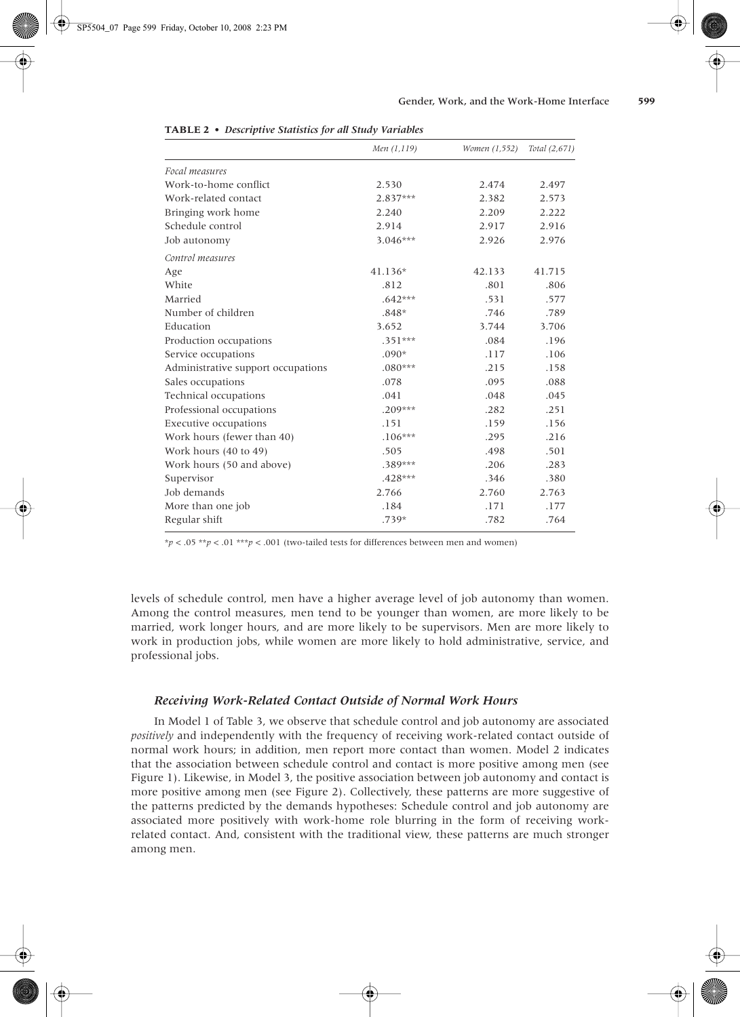|                                    | Men (1,119) | Women (1,552) | Total (2,671) |
|------------------------------------|-------------|---------------|---------------|
| Focal measures                     |             |               |               |
| Work-to-home conflict              | 2.530       | 2.474         | 2.497         |
| Work-related contact               | $2.837***$  | 2.382         | 2.573         |
| Bringing work home                 | 2.240       | 2.209         | 2.222         |
| Schedule control                   | 2.914       | 2.917         | 2.916         |
| Job autonomy                       | $3.046***$  | 2.926         | 2.976         |
| Control measures                   |             |               |               |
| Age                                | $41.136*$   | 42.133        | 41.715        |
| White                              | .812        | .801          | .806          |
| Married                            | $.642***$   | .531          | .577          |
| Number of children                 | $.848*$     | .746          | .789          |
| Education                          | 3.652       | 3.744         | 3.706         |
| Production occupations             | $.351***$   | .084          | .196          |
| Service occupations                | $.090*$     | .117          | .106          |
| Administrative support occupations | $.080***$   | .215          | .158          |
| Sales occupations                  | .078        | .095          | .088          |
| Technical occupations              | .041        | .048          | .045          |
| Professional occupations           | $.209***$   | .282          | .251          |
| <b>Executive occupations</b>       | .151        | .159          | .156          |
| Work hours (fewer than 40)         | $.106***$   | .295          | .216          |
| Work hours (40 to 49)              | .505        | .498          | .501          |
| Work hours (50 and above)          | $.389***$   | .206          | .283          |
| Supervisor                         | $.428***$   | .346          | .380          |
| Job demands                        | 2.766       | 2.760         | 2.763         |
| More than one job                  | .184        | .171          | .177          |
| Regular shift                      | $.739*$     | .782          | .764          |

**TABLE 2 •** *Descriptive Statistics for all Study Variables* 

\**p* < .05 \*\**p* < .01 \*\*\**p* < .001 (two-tailed tests for differences between men and women)

levels of schedule control, men have a higher average level of job autonomy than women. Among the control measures, men tend to be younger than women, are more likely to be married, work longer hours, and are more likely to be supervisors. Men are more likely to work in production jobs, while women are more likely to hold administrative, service, and professional jobs.

# *Receiving Work-Related Contact Outside of Normal Work Hours*

In Model 1 of Table 3, we observe that schedule control and job autonomy are associated *positively* and independently with the frequency of receiving work-related contact outside of normal work hours; in addition, men report more contact than women. Model 2 indicates that the association between schedule control and contact is more positive among men (see Figure 1). Likewise, in Model 3, the positive association between job autonomy and contact is more positive among men (see Figure 2). Collectively, these patterns are more suggestive of the patterns predicted by the demands hypotheses: Schedule control and job autonomy are associated more positively with work-home role blurring in the form of receiving workrelated contact. And, consistent with the traditional view, these patterns are much stronger among men.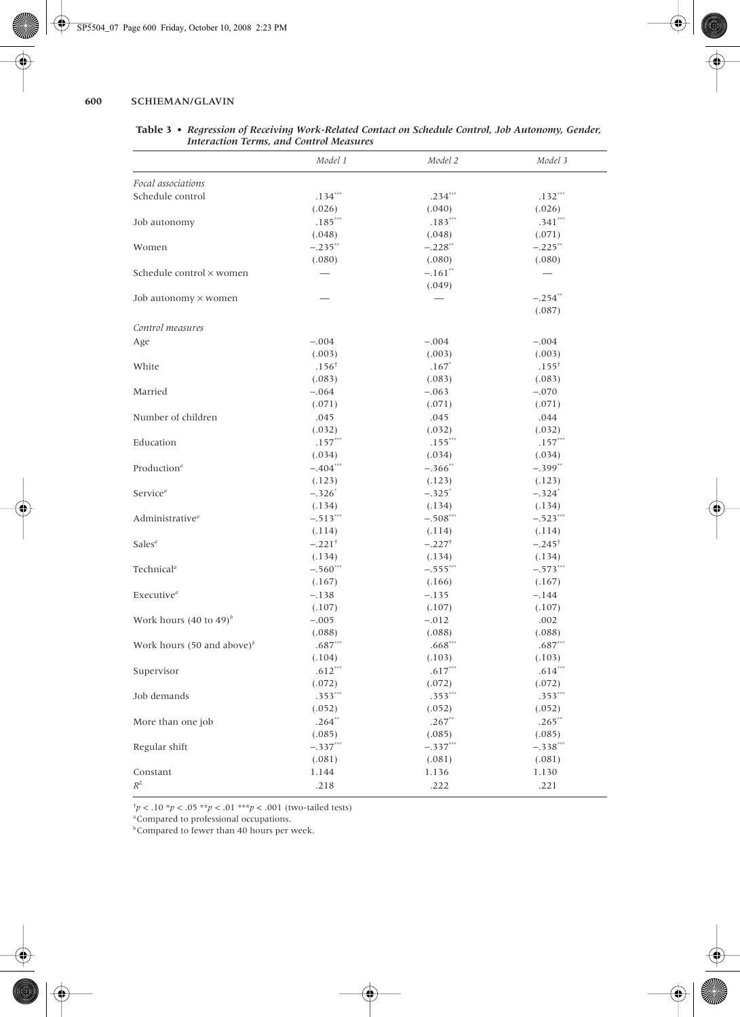|                                        | Model 1              | Model 2               | Model 3               |
|----------------------------------------|----------------------|-----------------------|-----------------------|
| Focal associations                     |                      |                       |                       |
| Schedule control                       | $.134***$            | $.234***$             | $.132***$             |
|                                        | (.026)               | (.040)                | (.026)                |
| Job autonomy                           | $.185***$            | $.183***$             | $.341***$             |
|                                        | (.048)               | (.048)                | (.071)                |
| Women                                  | $-.235***$           | $-.228**$             | $-.225$ **            |
|                                        | (.080)               | (.080)                | (.080)                |
| Schedule control × women               |                      | $-.161$ <sup>**</sup> |                       |
|                                        |                      | (.049)                |                       |
| Job autonomy × women                   |                      |                       | $-.254$ <sup>**</sup> |
|                                        |                      |                       | (.087)                |
|                                        |                      |                       |                       |
| Control measures                       |                      |                       |                       |
| Age                                    | $-.004$              | $-.004$               | $-.004$               |
|                                        | (.003)               | (.003)                | (.003)                |
| White                                  | .156 <sup>†</sup>    | $.167*$               | $.155^+$              |
|                                        | (.083)               | (.083)                | (.083)                |
| Married                                | $-.064$              | $-.063$               | $-.070$               |
|                                        | (.071)               | (.071)                | (.071)                |
| Number of children                     | .045                 | .045                  | .044                  |
|                                        | (.032)               | (.032)                | (.032)                |
| Education                              | $.157***$            | $.155***$             | $.157***$             |
|                                        | (.034)               | (.034)                | (.034)                |
| Production <sup>a</sup>                | $-.404***$           | $-.366$ <sup>**</sup> | $-.399**$             |
|                                        | (.123)               | (.123)                | (.123)                |
| Service <sup>a</sup>                   | $-.326*$             | $-.325*$              | $-.324"$              |
|                                        | (.134)               | (.134)                | (.134)                |
| Administrative <sup>a</sup>            | $-.513***$           | $-.508***$            | $-.523***$            |
|                                        | (.114)               | (.114)                | (.114)                |
| Sales <sup>a</sup>                     | $-.221$ <sup>+</sup> | $-.227$ <sup>+</sup>  | $-.245^{\dagger}$     |
|                                        | (.134)               | (.134)                | (.134)                |
| Technical <sup>a</sup>                 | $-.560***$           | $-.555***$            | $-.573***$            |
|                                        | (.167)               | (.166)                | (.167)                |
| Executive <sup>a</sup>                 | $-.138$              | $-.135$               | $-.144$               |
|                                        | (.107)               | (.107)                | (.107)                |
| Work hours $(40 \text{ to } 49)^b$     | $-.005$              | $-.012$               | .002                  |
|                                        | (.088)               | (.088)                | (.088)                |
| Work hours (50 and above) <sup>b</sup> | $.687***$            | $.668***$             | $.687***$             |
|                                        | (.104)               | (.103)                | (.103)                |
| Supervisor                             | $.612***$            | $.617***$             | $.614***$             |
|                                        | (.072)               | (.072)                | (.072)                |
| Job demands                            | $.353***$            | $.353***$             | $.353***$             |
|                                        | (.052)               | (.052)                | (.052)                |
| More than one job                      | $.264$ **            | $.267**$              | $.265$ <sup>**</sup>  |
|                                        | (.085)               | (.085)                |                       |
|                                        | $-.337***$           | $-.337***$            | (.085)<br>$-.338***$  |
| Regular shift                          |                      |                       |                       |
|                                        | (.081)               | (.081)                | (.081)                |
| Constant                               | 1.144                | 1.136                 | 1.130                 |
| $R^2$                                  | .218                 | .222                  | .221                  |

**Table 3 •** *Regression of Receiving Work-Related Contact on Schedule Control, Job Autonomy, Gender, Interaction Terms, and Control Measures* 

† *p* < .10 \**p* < .05 \*\**p* < .01 \*\*\**p* < .001 (two-tailed tests)

a Compared to professional occupations.

<sup>b</sup>Compared to fewer than 40 hours per week.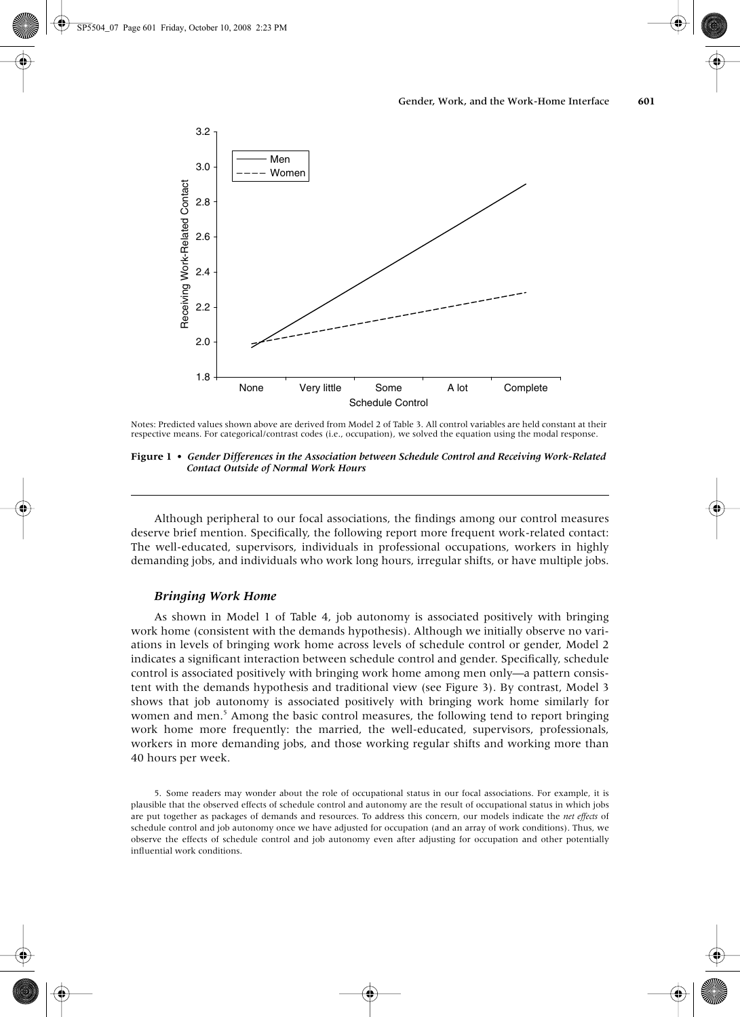

Notes: Predicted values shown above are derived from Model 2 of Table 3. All control variables are held constant at their respective means. For categorical/contrast codes (i.e., occupation), we solved the equation using the modal response.

#### **Figure 1** *• Gender Differences in the Association between Schedule Control and Receiving Work-Related Contact Outside of Normal Work Hours*

Although peripheral to our focal associations, the findings among our control measures deserve brief mention. Specifically, the following report more frequent work-related contact: The well-educated, supervisors, individuals in professional occupations, workers in highly demanding jobs, and individuals who work long hours, irregular shifts, or have multiple jobs.

#### *Bringing Work Home*

As shown in Model 1 of Table 4, job autonomy is associated positively with bringing work home (consistent with the demands hypothesis). Although we initially observe no variations in levels of bringing work home across levels of schedule control or gender, Model 2 indicates a significant interaction between schedule control and gender. Specifically, schedule control is associated positively with bringing work home among men only—a pattern consistent with the demands hypothesis and traditional view (see Figure 3). By contrast, Model 3 shows that job autonomy is associated positively with bringing work home similarly for women and men.<sup>5</sup> Among the basic control measures, the following tend to report bringing work home more frequently: the married, the well-educated, supervisors, professionals, workers in more demanding jobs, and those working regular shifts and working more than 40 hours per week.

5. Some readers may wonder about the role of occupational status in our focal associations. For example, it is plausible that the observed effects of schedule control and autonomy are the result of occupational status in which jobs are put together as packages of demands and resources. To address this concern, our models indicate the *net effects* of schedule control and job autonomy once we have adjusted for occupation (and an array of work conditions). Thus, we observe the effects of schedule control and job autonomy even after adjusting for occupation and other potentially influential work conditions.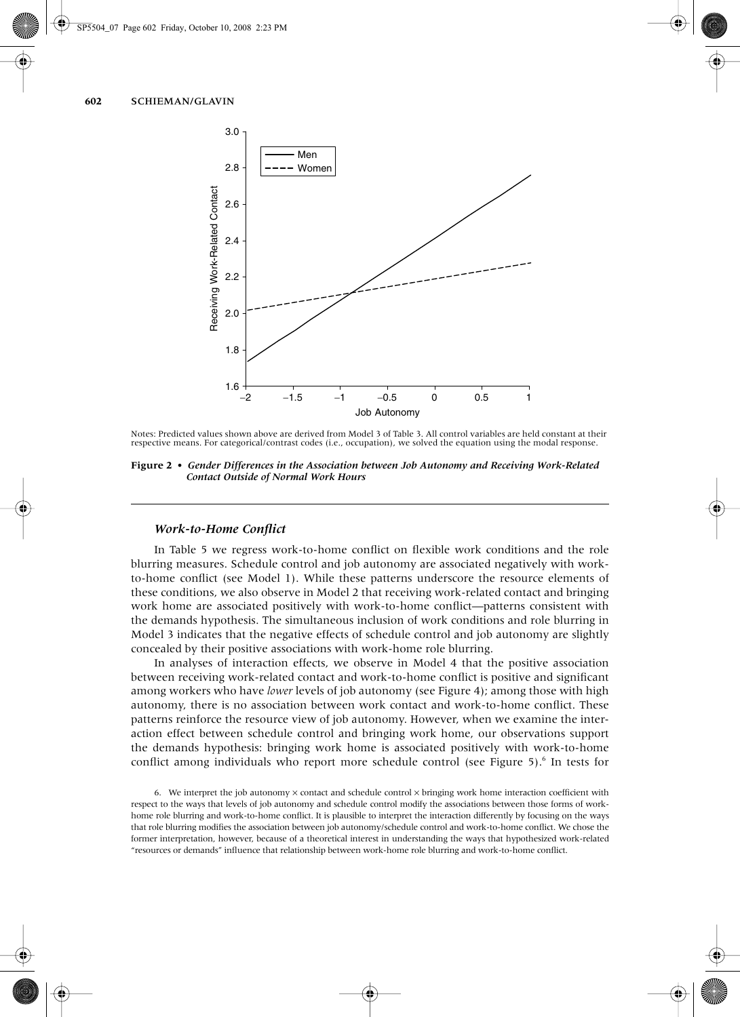

Notes: Predicted values shown above are derived from Model 3 of Table 3. All control variables are held constant at their respective means. For categorical/contrast codes (i.e., occupation), we solved the equation using the modal response.

**Figure 2 •** *Gender Differences in the Association between Job Autonomy and Receiving Work-Related Contact Outside of Normal Work Hours*

#### *Work-to-Home Conflict*

In Table 5 we regress work-to-home conflict on flexible work conditions and the role blurring measures. Schedule control and job autonomy are associated negatively with workto-home conflict (see Model 1). While these patterns underscore the resource elements of these conditions, we also observe in Model 2 that receiving work-related contact and bringing work home are associated positively with work-to-home conflict—patterns consistent with the demands hypothesis. The simultaneous inclusion of work conditions and role blurring in Model 3 indicates that the negative effects of schedule control and job autonomy are slightly concealed by their positive associations with work-home role blurring.

In analyses of interaction effects, we observe in Model 4 that the positive association between receiving work-related contact and work-to-home conflict is positive and significant among workers who have *lower* levels of job autonomy (see Figure 4); among those with high autonomy, there is no association between work contact and work-to-home conflict. These patterns reinforce the resource view of job autonomy. However, when we examine the interaction effect between schedule control and bringing work home, our observations support the demands hypothesis: bringing work home is associated positively with work-to-home conflict among individuals who report more schedule control (see Figure 5).<sup>6</sup> In tests for

<sup>6.</sup> We interpret the job autonomy  $\times$  contact and schedule control  $\times$  bringing work home interaction coefficient with respect to the ways that levels of job autonomy and schedule control modify the associations between those forms of workhome role blurring and work-to-home conflict. It is plausible to interpret the interaction differently by focusing on the ways that role blurring modifies the association between job autonomy/schedule control and work-to-home conflict. We chose the former interpretation, however, because of a theoretical interest in understanding the ways that hypothesized work-related "resources or demands" influence that relationship between work-home role blurring and work-to-home conflict.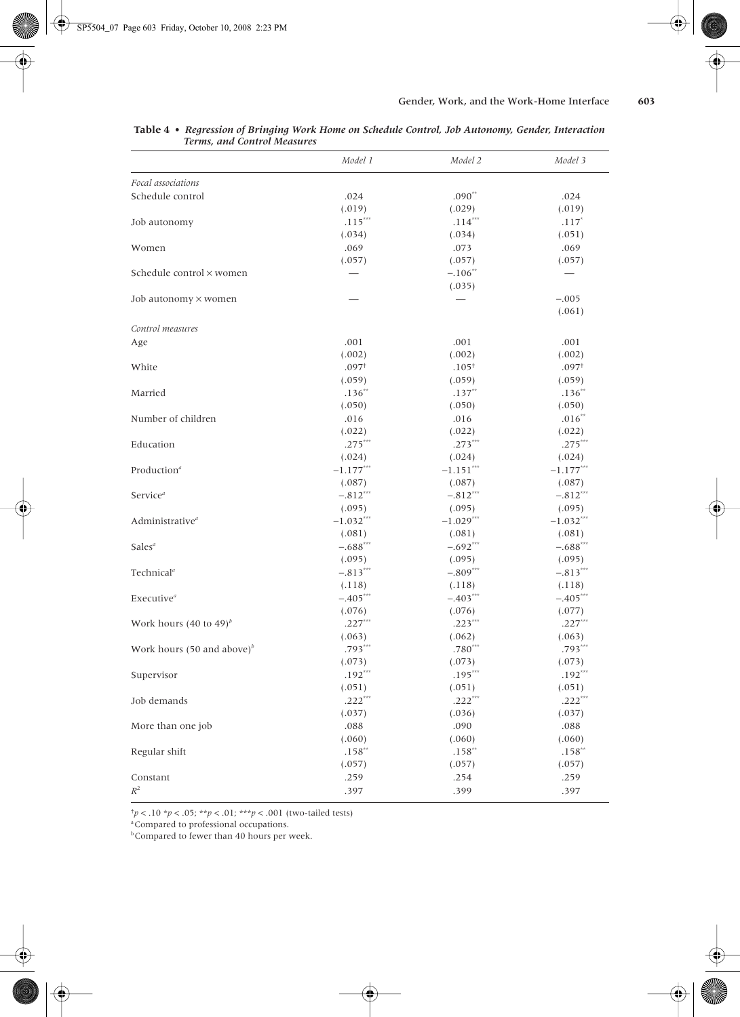|                                        | Model 1     | Model 2           | Model 3              |
|----------------------------------------|-------------|-------------------|----------------------|
|                                        |             |                   |                      |
| Focal associations                     |             |                   |                      |
| Schedule control                       | .024        | $.090**$          | .024                 |
|                                        | (.019)      | (.029)            | (.019)               |
| Job autonomy                           | $.115***$   | $.114***$         | $.117*$              |
|                                        | (.034)      | (.034)            | (.051)               |
| Women                                  | .069        | .073              | .069                 |
|                                        | (.057)      | (.057)            | (.057)               |
| Schedule control × women               |             | $-.106**$         |                      |
|                                        |             | (.035)            |                      |
| Job autonomy × women                   |             |                   | $-.005$              |
|                                        |             |                   | (.061)               |
| Control measures                       |             |                   |                      |
| Age                                    | .001        | .001              | .001                 |
|                                        | (.002)      | (.002)            | (.002)               |
| White                                  | $.097+$     | .105 <sup>†</sup> | .097 <sup>†</sup>    |
|                                        | (.059)      | (.059)            | (.059)               |
| Married                                | $.136**$    | $.137**$          | $.136**$             |
|                                        | (.050)      | (.050)            | (.050)               |
| Number of children                     | .016        | .016              | $.016$ <sup>**</sup> |
|                                        | (.022)      | (.022)            | (.022)               |
| Education                              | $.275***$   | $.273***$         | $.275***$            |
|                                        | (.024)      | (.024)            | (.024)               |
| Production <sup>a</sup>                | $-1.177***$ | $-1.151***$       | $-1.177***$          |
|                                        | (.087)      | (.087)            | (.087)               |
| Service <sup>a</sup>                   | $-.812***$  | $-.812***$        | $-.812***$           |
|                                        | (.095)      | (.095)            | (.095)               |
| Administrative <sup>a</sup>            | $-1.032***$ | $-1.029***$       | $-1.032***$          |
|                                        | (.081)      | (.081)            | (.081)               |
| Sales <sup>a</sup>                     | $-.688$ *** | $-.692***$        | $-.688$ ***          |
|                                        | (.095)      | (.095)            | (.095)               |
| Technical <sup>a</sup>                 | $-.813***$  | $-.809***$        | $-.813***$           |
|                                        | (.118)      | (.118)            | (.118)               |
| Executive <sup>a</sup>                 | $-.405***$  | $-.403***$        | $-.405***$           |
|                                        | (.076)      | (.076)            | (.077)               |
| Work hours $(40 \text{ to } 49)^b$     | $.227***$   | $.223***$         | $.227***$            |
|                                        | (.063)      | (.062)            | (.063)               |
| Work hours (50 and above) <sup>b</sup> | $.793***$   | $.780***$         | $.793***$            |
|                                        | (.073)      | (.073)            | (.073)               |
| Supervisor                             | $.192***$   | $.195***$         | $.192***$            |
|                                        | (.051)      | (.051)            | (.051)               |
| Job demands                            | $.222***$   | $.222***$         | $.222***$            |
|                                        | (.037)      | (.036)            | (.037)               |
| More than one job                      | .088        | .090              | .088                 |
|                                        | (.060)      | (.060)            | (.060)               |
| Regular shift                          | $.158**$    | $.158**$          | $.158**$             |
|                                        | (.057)      | (.057)            | (.057)               |
| Constant                               | .259        | .254              | .259                 |
| $R^2$                                  | .397        | .399              | .397                 |
|                                        |             |                   |                      |

**Table 4 •** *Regression of Bringing Work Home on Schedule Control, Job Autonomy, Gender, Interaction Terms, and Control Measures* 

† *p* < .10 \**p* < .05; \*\**p* < .01; \*\*\**p* < .001 (two-tailed tests)

a Compared to professional occupations.

**bCompared to fewer than 40 hours per week.**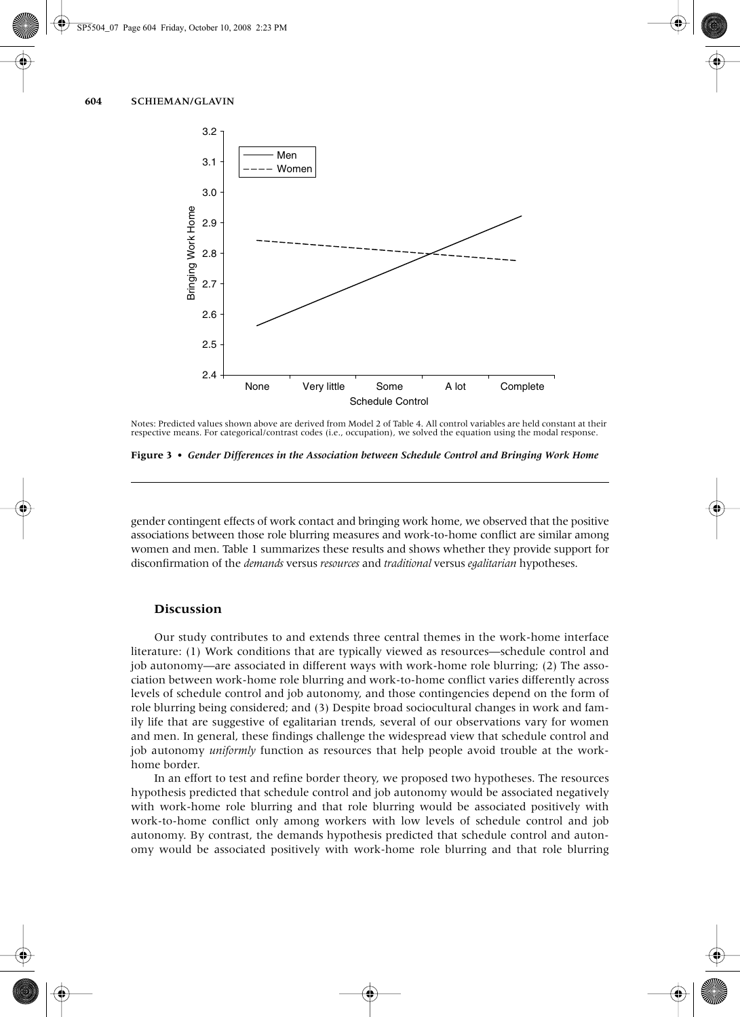

Notes: Predicted values shown above are derived from Model 2 of Table 4. All control variables are held constant at their respective means. For categorical/contrast codes (i.e., occupation), we solved the equation using the modal response.

**Figure 3 •** *Gender Differences in the Association between Schedule Control and Bringing Work Home* 

gender contingent effects of work contact and bringing work home, we observed that the positive associations between those role blurring measures and work-to-home conflict are similar among women and men. Table 1 summarizes these results and shows whether they provide support for disconfirmation of the *demands* versus *resources* and *traditional* versus *egalitarian* hypotheses.

# **Discussion**

Our study contributes to and extends three central themes in the work-home interface literature: (1) Work conditions that are typically viewed as resources—schedule control and job autonomy—are associated in different ways with work-home role blurring; (2) The association between work-home role blurring and work-to-home conflict varies differently across levels of schedule control and job autonomy, and those contingencies depend on the form of role blurring being considered; and (3) Despite broad sociocultural changes in work and family life that are suggestive of egalitarian trends, several of our observations vary for women and men. In general, these findings challenge the widespread view that schedule control and job autonomy *uniformly* function as resources that help people avoid trouble at the workhome border.

In an effort to test and refine border theory, we proposed two hypotheses. The resources hypothesis predicted that schedule control and job autonomy would be associated negatively with work-home role blurring and that role blurring would be associated positively with work-to-home conflict only among workers with low levels of schedule control and job autonomy. By contrast, the demands hypothesis predicted that schedule control and autonomy would be associated positively with work-home role blurring and that role blurring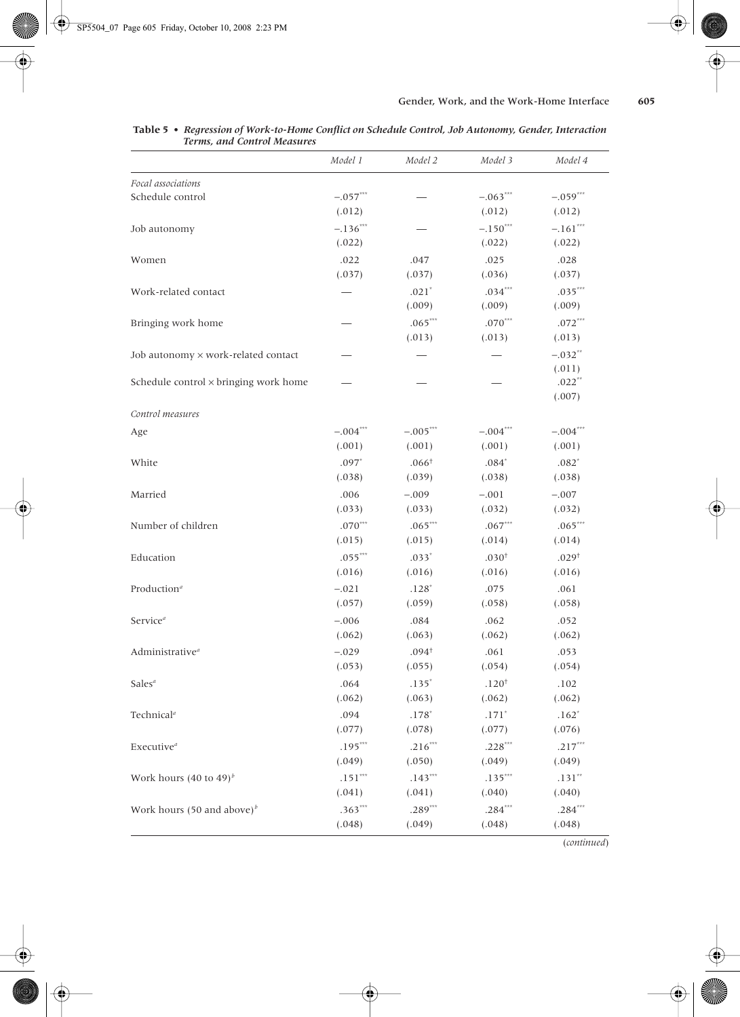|                                              | Model 1    | Model 2             | Model 3      | Model 4           |
|----------------------------------------------|------------|---------------------|--------------|-------------------|
| Focal associations                           |            |                     |              |                   |
| Schedule control                             | $-.057***$ |                     | $-.063***$   | $-.059***$        |
|                                              | (.012)     |                     | (.012)       | (.012)            |
| Job autonomy                                 | $-.136***$ |                     | $-.150***$   | $-.161***$        |
|                                              | (.022)     |                     | (.022)       | (.022)            |
| Women                                        | .022       | .047                | .025         | .028              |
|                                              | (.037)     | (.037)              | (.036)       | (.037)            |
| Work-related contact                         |            | $.021$ <sup>*</sup> | $.034***$    | $.035***$         |
|                                              |            | (.009)              | (.009)       | (.009)            |
| Bringing work home                           |            | $.065***$           | $.070***$    | $.072***$         |
|                                              |            | (.013)              | (.013)       | (.013)            |
| Job autonomy × work-related contact          |            |                     |              | $-.032**$         |
|                                              |            |                     |              | (.011)            |
| Schedule control $\times$ bringing work home |            |                     |              | $.022**$          |
|                                              |            |                     |              | (.007)            |
| Control measures                             |            |                     |              |                   |
| Age                                          | $-.004***$ | $-.005***$          | $-.004***$   | $-.004***$        |
|                                              | (.001)     | (.001)              | (.001)       | (.001)            |
| White                                        | $.097*$    | $.066^{\dagger}$    | $.084*$      | $.082*$           |
|                                              | (.038)     | (.039)              | (.038)       | (.038)            |
| Married                                      | .006       | $-.009$             | $-.001$      | $-.007$           |
|                                              | (.033)     | (.033)              | (.032)       | (.032)            |
| Number of children                           | $.070***$  | $.065***$           | $.067^{***}$ | $.065***$         |
|                                              | (.015)     | (.015)              | (.014)       | (.014)            |
| Education                                    | $.055***$  | $.033*$             | $.030+$      | .029 <sup>†</sup> |
|                                              | (.016)     | (.016)              | (.016)       | (.016)            |
| Production <sup>a</sup>                      | $-.021$    | $.128*$             | .075         | .061              |
|                                              | (.057)     | (.059)              | (.058)       | (.058)            |
| Service <sup>a</sup>                         | $-.006$    | .084                | .062         | .052              |
|                                              | (.062)     | (.063)              | (.062)       | (.062)            |
| Administrative <sup>a</sup>                  | $-.029$    | .094 <sup>†</sup>   | .061         | .053              |
|                                              | (.053)     | (.055)              | (.054)       | (.054)            |
| Sales <sup>a</sup>                           | .064       | $.135*$             | $.120^{+}$   | .102              |
|                                              | (.062)     | (.063)              | (.062)       | (.062)            |
| Technical <sup>a</sup>                       | .094       | $.178*$             | $.171*$      | $.162*$           |
|                                              | (.077)     | (.078)              | (.077)       | (.076)            |
| Executive <sup>a</sup>                       | $.195***$  | $.216***$           | $.228***$    | $.217***$         |
|                                              | (.049)     | (.050)              | (.049)       | (.049)            |
| Work hours $(40 \text{ to } 49)^b$           | $.151***$  | $.143***$           | $.135***$    | $.131**$          |
|                                              | (.041)     | (.041)              | (.040)       | (.040)            |
| Work hours (50 and above) $\frac{b}{b}$      | $.363***$  | $.289***$           | $.284***$    | $.284***$         |
|                                              | (.048)     | (.049)              | (.048)       | (.048)            |

**Table 5 •** *Regression of Work-to-Home Conflict on Schedule Control, Job Autonomy, Gender, Interaction Terms, and Control Measures* 

(*continued*)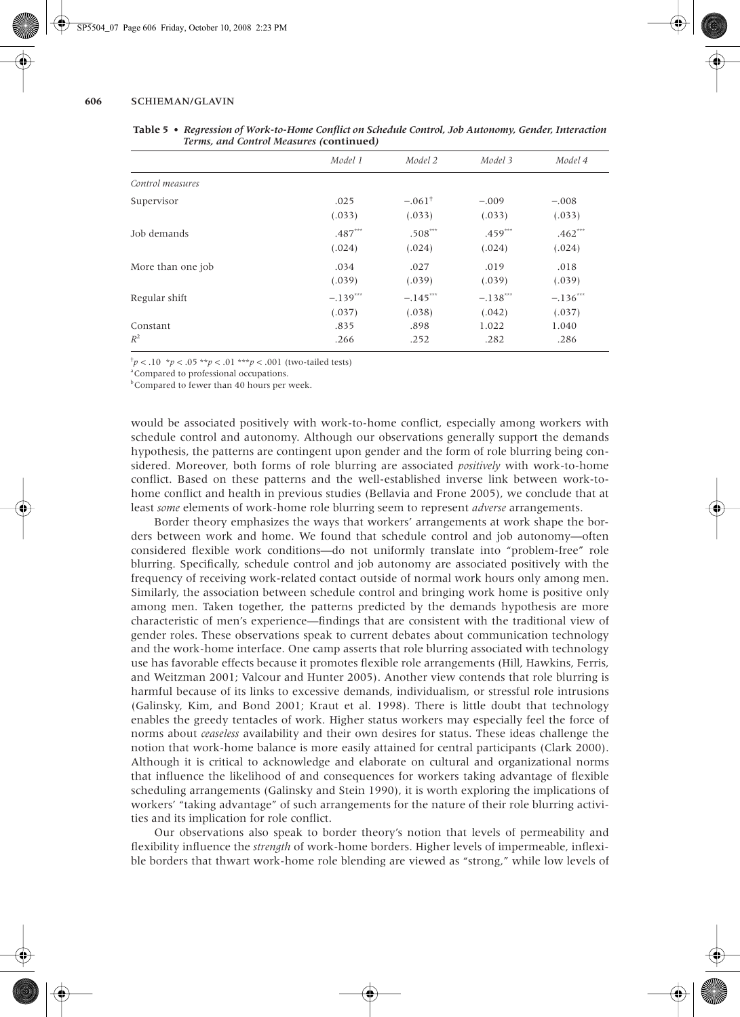|                   | Model 1    | Model 2    | Model 3    | Model 4    |
|-------------------|------------|------------|------------|------------|
| Control measures  |            |            |            |            |
| Supervisor        | .025       | $-.061+$   | $-.009$    | $-.008$    |
|                   | (.033)     | (.033)     | (.033)     | (.033)     |
| Job demands       | $.487***$  | $.508***$  | $.459***$  | $.462***$  |
|                   | (.024)     | (.024)     | (.024)     | (.024)     |
| More than one job | .034       | .027       | .019       | .018       |
|                   | (.039)     | (.039)     | (.039)     | (.039)     |
| Regular shift     | $-.139***$ | $-.145***$ | $-.138***$ | $-.136***$ |
|                   | (.037)     | (.038)     | (.042)     | (.037)     |
| Constant          | .835       | .898       | 1.022      | 1.040      |
| $R^2$             | .266       | .252       | .282       | .286       |

**Table 5 •** *Regression of Work-to-Home Conflict on Schedule Control, Job Autonomy, Gender, Interaction Terms, and Control Measures (***continued***)*

† *p* < .10 \**p* < .05 \*\**p* < .01 \*\*\**p* < .001 (two-tailed tests)

a Compared to professional occupations.

 $b$ Compared to fewer than 40 hours per week.

would be associated positively with work-to-home conflict, especially among workers with schedule control and autonomy. Although our observations generally support the demands hypothesis, the patterns are contingent upon gender and the form of role blurring being considered. Moreover, both forms of role blurring are associated *positively* with work-to-home conflict. Based on these patterns and the well-established inverse link between work-tohome conflict and health in previous studies (Bellavia and Frone 2005), we conclude that at least *some* elements of work-home role blurring seem to represent *adverse* arrangements.

Border theory emphasizes the ways that workers' arrangements at work shape the borders between work and home. We found that schedule control and job autonomy—often considered flexible work conditions—do not uniformly translate into "problem-free" role blurring. Specifically, schedule control and job autonomy are associated positively with the frequency of receiving work-related contact outside of normal work hours only among men. Similarly, the association between schedule control and bringing work home is positive only among men. Taken together, the patterns predicted by the demands hypothesis are more characteristic of men's experience—findings that are consistent with the traditional view of gender roles. These observations speak to current debates about communication technology and the work-home interface. One camp asserts that role blurring associated with technology use has favorable effects because it promotes flexible role arrangements (Hill, Hawkins, Ferris, and Weitzman 2001; Valcour and Hunter 2005). Another view contends that role blurring is harmful because of its links to excessive demands, individualism, or stressful role intrusions (Galinsky, Kim, and Bond 2001; Kraut et al. 1998). There is little doubt that technology enables the greedy tentacles of work. Higher status workers may especially feel the force of norms about *ceaseless* availability and their own desires for status. These ideas challenge the notion that work-home balance is more easily attained for central participants (Clark 2000). Although it is critical to acknowledge and elaborate on cultural and organizational norms that influence the likelihood of and consequences for workers taking advantage of flexible scheduling arrangements (Galinsky and Stein 1990), it is worth exploring the implications of workers' "taking advantage" of such arrangements for the nature of their role blurring activities and its implication for role conflict.

Our observations also speak to border theory's notion that levels of permeability and flexibility influence the *strength* of work-home borders. Higher levels of impermeable, inflexible borders that thwart work-home role blending are viewed as "strong," while low levels of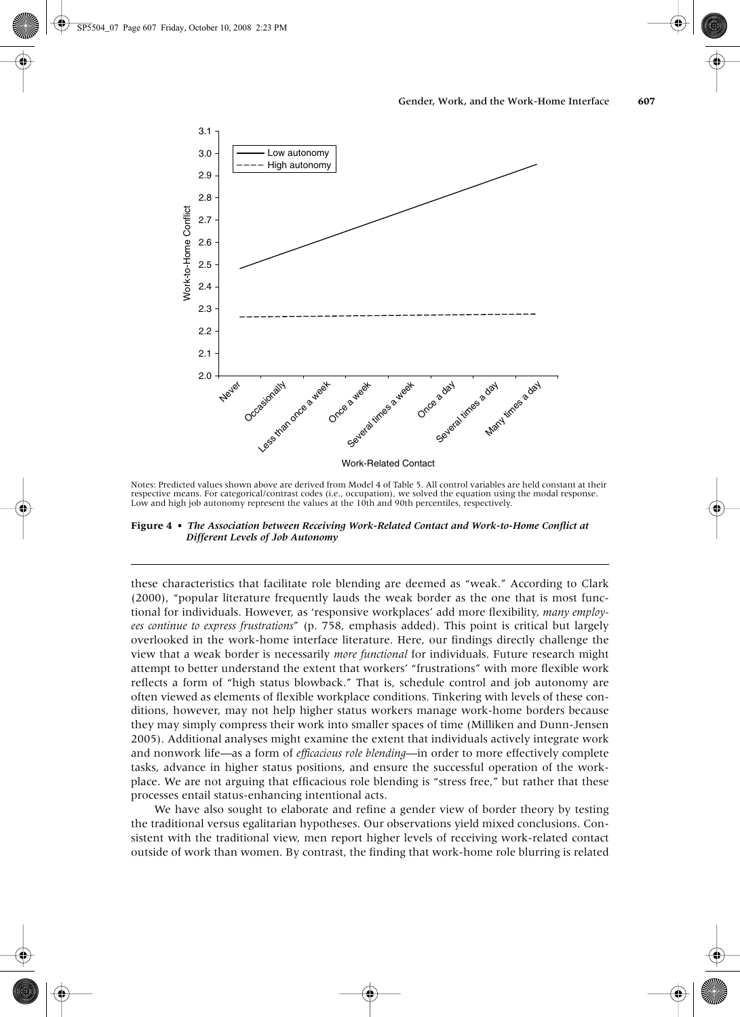

Notes: Predicted values shown above are derived from Model 4 of Table 5. All control variables are held constant at their respective means. For categorical/contrast codes (i.e., occupation), we solved the equation using the modal response. Low and high job autonomy represent the values at the 10th and 90th percentiles, respectively.

**Figure 4 •** *The Association between Receiving Work-Related Contact and Work-to-Home Conflict at Different Levels of Job Autonomy* 

these characteristics that facilitate role blending are deemed as "weak." According to Clark (2000), "popular literature frequently lauds the weak border as the one that is most functional for individuals. However, as 'responsive workplaces' add more flexibility, *many employees continue to express frustrations*" (p. 758, emphasis added). This point is critical but largely overlooked in the work-home interface literature. Here, our findings directly challenge the view that a weak border is necessarily *more functional* for individuals. Future research might attempt to better understand the extent that workers' "frustrations" with more flexible work reflects a form of "high status blowback." That is, schedule control and job autonomy are often viewed as elements of flexible workplace conditions. Tinkering with levels of these conditions, however, may not help higher status workers manage work-home borders because they may simply compress their work into smaller spaces of time (Milliken and Dunn-Jensen 2005). Additional analyses might examine the extent that individuals actively integrate work and nonwork life—as a form of *efficacious role blending*—in order to more effectively complete tasks, advance in higher status positions, and ensure the successful operation of the workplace. We are not arguing that efficacious role blending is "stress free," but rather that these processes entail status-enhancing intentional acts.

We have also sought to elaborate and refine a gender view of border theory by testing the traditional versus egalitarian hypotheses. Our observations yield mixed conclusions. Consistent with the traditional view, men report higher levels of receiving work-related contact outside of work than women. By contrast, the finding that work-home role blurring is related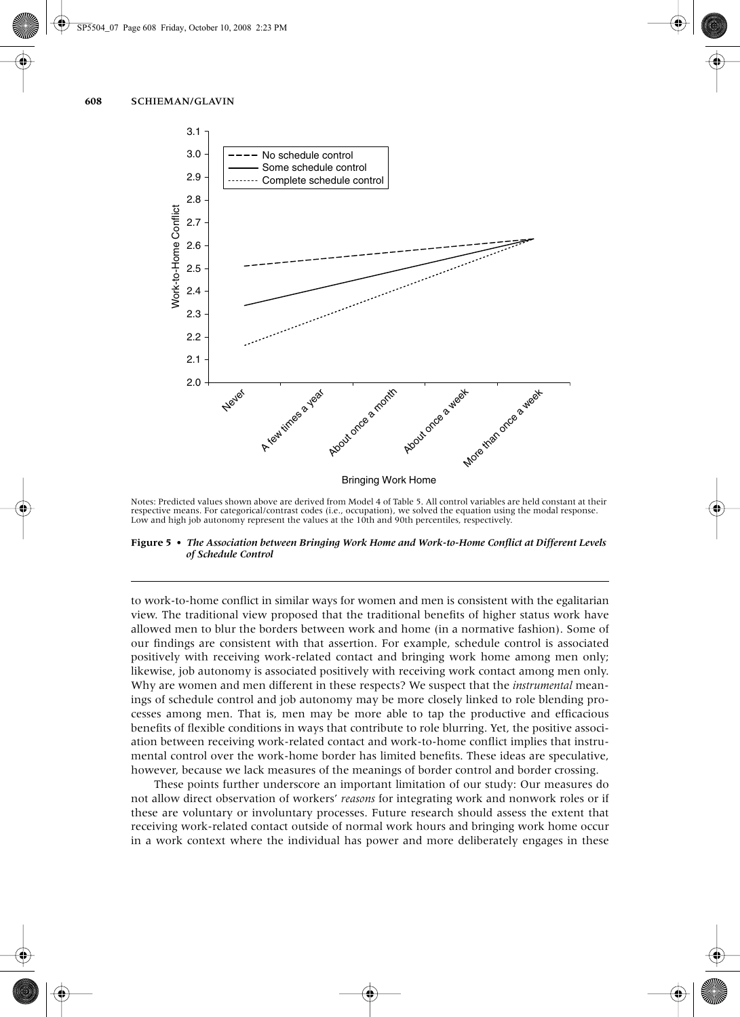

Notes: Predicted values shown above are derived from Model 4 of Table 5. All control variables are held constant at their respective means. For categorical/contrast codes (i.e., occupation), we solved the equation using the modal response. Low and high job autonomy represent the values at the 10th and 90th percentiles, respectively.

**Figure 5 •** *The Association between Bringing Work Home and Work-to-Home Conflict at Different Levels of Schedule Control* 

to work-to-home conflict in similar ways for women and men is consistent with the egalitarian view. The traditional view proposed that the traditional benefits of higher status work have allowed men to blur the borders between work and home (in a normative fashion). Some of our findings are consistent with that assertion. For example, schedule control is associated positively with receiving work-related contact and bringing work home among men only; likewise, job autonomy is associated positively with receiving work contact among men only. Why are women and men different in these respects? We suspect that the *instrumental* meanings of schedule control and job autonomy may be more closely linked to role blending processes among men. That is, men may be more able to tap the productive and efficacious benefits of flexible conditions in ways that contribute to role blurring. Yet, the positive association between receiving work-related contact and work-to-home conflict implies that instrumental control over the work-home border has limited benefits. These ideas are speculative, however, because we lack measures of the meanings of border control and border crossing.

These points further underscore an important limitation of our study: Our measures do not allow direct observation of workers' *reasons* for integrating work and nonwork roles or if these are voluntary or involuntary processes. Future research should assess the extent that receiving work-related contact outside of normal work hours and bringing work home occur in a work context where the individual has power and more deliberately engages in these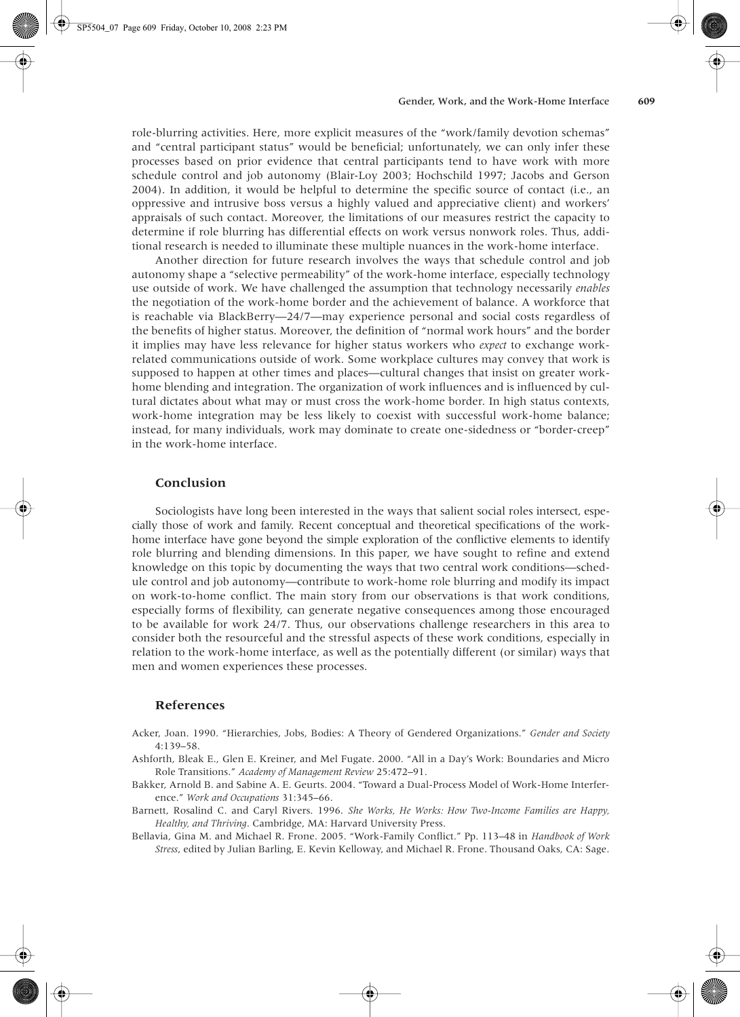role-blurring activities. Here, more explicit measures of the "work/family devotion schemas" and "central participant status" would be beneficial; unfortunately, we can only infer these processes based on prior evidence that central participants tend to have work with more schedule control and job autonomy (Blair-Loy 2003; Hochschild 1997; Jacobs and Gerson 2004). In addition, it would be helpful to determine the specific source of contact (i.e., an oppressive and intrusive boss versus a highly valued and appreciative client) and workers' appraisals of such contact. Moreover, the limitations of our measures restrict the capacity to determine if role blurring has differential effects on work versus nonwork roles. Thus, additional research is needed to illuminate these multiple nuances in the work-home interface.

Another direction for future research involves the ways that schedule control and job autonomy shape a "selective permeability" of the work-home interface, especially technology use outside of work. We have challenged the assumption that technology necessarily *enables* the negotiation of the work-home border and the achievement of balance. A workforce that is reachable via BlackBerry—24/7—may experience personal and social costs regardless of the benefits of higher status. Moreover, the definition of "normal work hours" and the border it implies may have less relevance for higher status workers who *expect* to exchange workrelated communications outside of work. Some workplace cultures may convey that work is supposed to happen at other times and places—cultural changes that insist on greater workhome blending and integration. The organization of work influences and is influenced by cultural dictates about what may or must cross the work-home border. In high status contexts, work-home integration may be less likely to coexist with successful work-home balance; instead, for many individuals, work may dominate to create one-sidedness or "border-creep" in the work-home interface.

# **Conclusion**

Sociologists have long been interested in the ways that salient social roles intersect, especially those of work and family. Recent conceptual and theoretical specifications of the workhome interface have gone beyond the simple exploration of the conflictive elements to identify role blurring and blending dimensions. In this paper, we have sought to refine and extend knowledge on this topic by documenting the ways that two central work conditions—schedule control and job autonomy—contribute to work-home role blurring and modify its impact on work-to-home conflict. The main story from our observations is that work conditions, especially forms of flexibility, can generate negative consequences among those encouraged to be available for work 24/7. Thus, our observations challenge researchers in this area to consider both the resourceful and the stressful aspects of these work conditions, especially in relation to the work-home interface, as well as the potentially different (or similar) ways that men and women experiences these processes.

#### **References**

- Acker, Joan. 1990. "Hierarchies, Jobs, Bodies: A Theory of Gendered Organizations." *Gender and Society*  $4.139 - 58$
- Ashforth, Bleak E., Glen E. Kreiner, and Mel Fugate. 2000. "All in a Day's Work: Boundaries and Micro Role Transitions." *Academy of Management Review* 25:472–91.
- Bakker, Arnold B. and Sabine A. E. Geurts. 2004. "Toward a Dual-Process Model of Work-Home Interference." *Work and Occupations* 31:345–66.
- Barnett, Rosalind C. and Caryl Rivers. 1996. *She Works, He Works: How Two-Income Families are Happy, Healthy, and Thriving*. Cambridge, MA: Harvard University Press.
- Bellavia, Gina M. and Michael R. Frone. 2005. "Work-Family Conflict." Pp. 113–48 in *Handbook of Work Stress*, edited by Julian Barling, E. Kevin Kelloway, and Michael R. Frone. Thousand Oaks, CA: Sage.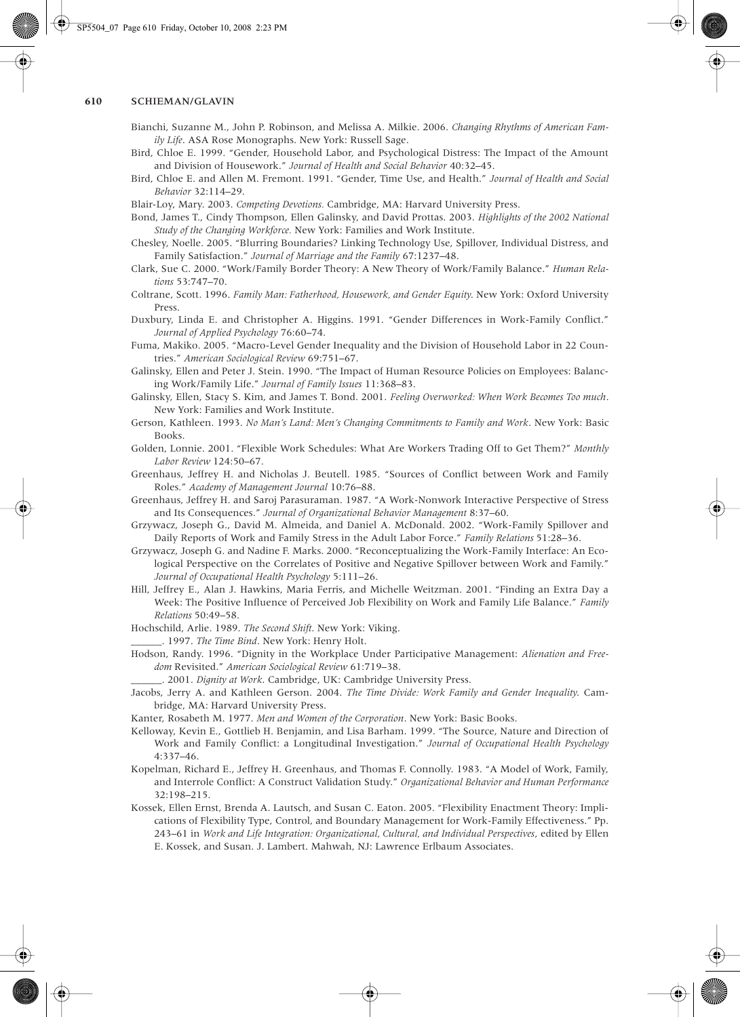#### **610** SCHIEMAN/GLAVIN

- Bianchi, Suzanne M., John P. Robinson, and Melissa A. Milkie. 2006. *Changing Rhythms of American Family Life*. ASA Rose Monographs. New York: Russell Sage.
- Bird, Chloe E. 1999. "Gender, Household Labor, and Psychological Distress: The Impact of the Amount and Division of Housework." *Journal of Health and Social Behavior* 40:32–45.
- Bird, Chloe E. and Allen M. Fremont. 1991. "Gender, Time Use, and Health." *Journal of Health and Social Behavior* 32:114–29.
- Blair-Loy, Mary. 2003. *Competing Devotions.* Cambridge, MA: Harvard University Press.
- Bond, James T., Cindy Thompson, Ellen Galinsky, and David Prottas. 2003. *Highlights of the 2002 National Study of the Changing Workforce.* New York: Families and Work Institute.
- Chesley, Noelle. 2005. "Blurring Boundaries? Linking Technology Use, Spillover, Individual Distress, and Family Satisfaction." *Journal of Marriage and the Family* 67:1237–48.
- Clark, Sue C. 2000. "Work/Family Border Theory: A New Theory of Work/Family Balance." *Human Relations* 53:747–70.
- Coltrane, Scott. 1996. *Family Man: Fatherhood, Housework, and Gender Equity*. New York: Oxford University Press.
- Duxbury, Linda E. and Christopher A. Higgins. 1991. "Gender Differences in Work-Family Conflict." *Journal of Applied Psychology* 76:60–74.
- Fuma, Makiko. 2005. "Macro-Level Gender Inequality and the Division of Household Labor in 22 Countries." *American Sociological Review* 69:751–67.
- Galinsky, Ellen and Peter J. Stein. 1990. "The Impact of Human Resource Policies on Employees: Balancing Work/Family Life." *Journal of Family Issues* 11:368–83.
- Galinsky, Ellen, Stacy S. Kim, and James T. Bond. 2001. *Feeling Overworked: When Work Becomes Too much*. New York: Families and Work Institute.
- Gerson, Kathleen. 1993. *No Man's Land: Men's Changing Commitments to Family and Work*. New York: Basic Books.
- Golden, Lonnie. 2001. "Flexible Work Schedules: What Are Workers Trading Off to Get Them?" *Monthly Labor Review* 124:50–67.
- Greenhaus, Jeffrey H. and Nicholas J. Beutell. 1985. "Sources of Conflict between Work and Family Roles." *Academy of Management Journal* 10:76–88.
- Greenhaus, Jeffrey H. and Saroj Parasuraman. 1987. "A Work-Nonwork Interactive Perspective of Stress and Its Consequences." *Journal of Organizational Behavior Management* 8:37–60.
- Grzywacz, Joseph G., David M. Almeida, and Daniel A. McDonald. 2002. "Work-Family Spillover and Daily Reports of Work and Family Stress in the Adult Labor Force." *Family Relations* 51:28–36.
- Grzywacz, Joseph G. and Nadine F. Marks. 2000. "Reconceptualizing the Work-Family Interface: An Ecological Perspective on the Correlates of Positive and Negative Spillover between Work and Family." *Journal of Occupational Health Psychology* 5:111–26.
- Hill, Jeffrey E., Alan J. Hawkins, Maria Ferris, and Michelle Weitzman. 2001. "Finding an Extra Day a Week: The Positive Influence of Perceived Job Flexibility on Work and Family Life Balance." *Family Relations* 50:49–58.
- Hochschild, Arlie. 1989. *The Second Shift*. New York: Viking.
	- \_\_\_\_\_\_. 1997. *The Time Bind*. New York: Henry Holt.
- Hodson, Randy. 1996. "Dignity in the Workplace Under Participative Management: *Alienation and Freedom* Revisited." *American Sociological Review* 61:719–38.
	- \_\_\_\_\_\_. 2001. *Dignity at Work*. Cambridge, UK: Cambridge University Press.
- Jacobs, Jerry A. and Kathleen Gerson. 2004. *The Time Divide: Work Family and Gender Inequality*. Cambridge, MA: Harvard University Press.
- Kanter, Rosabeth M. 1977. *Men and Women of the Corporation*. New York: Basic Books.
- Kelloway, Kevin E., Gottlieb H. Benjamin, and Lisa Barham. 1999. "The Source, Nature and Direction of Work and Family Conflict: a Longitudinal Investigation." *Journal of Occupational Health Psychology* 4:337–46.
- Kopelman, Richard E., Jeffrey H. Greenhaus, and Thomas F. Connolly. 1983. "A Model of Work, Family, and Interrole Conflict: A Construct Validation Study." *Organizational Behavior and Human Performance* 32:198–215.
- Kossek, Ellen Ernst, Brenda A. Lautsch, and Susan C. Eaton. 2005. "Flexibility Enactment Theory: Implications of Flexibility Type, Control, and Boundary Management for Work-Family Effectiveness." Pp. 243–61 in *Work and Life Integration: Organizational, Cultural, and Individual Perspectives*, edited by Ellen E. Kossek, and Susan. J. Lambert. Mahwah, NJ: Lawrence Erlbaum Associates.